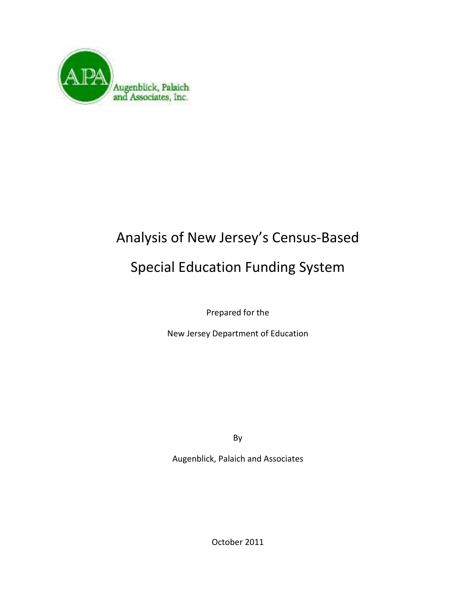

# Analysis of New Jersey's Census-Based

## Special Education Funding System

Prepared for the

New Jersey Department of Education

By

Augenblick, Palaich and Associates

October 2011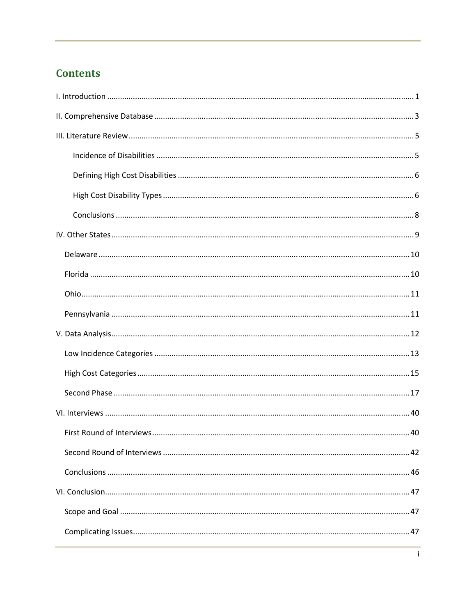## **Contents**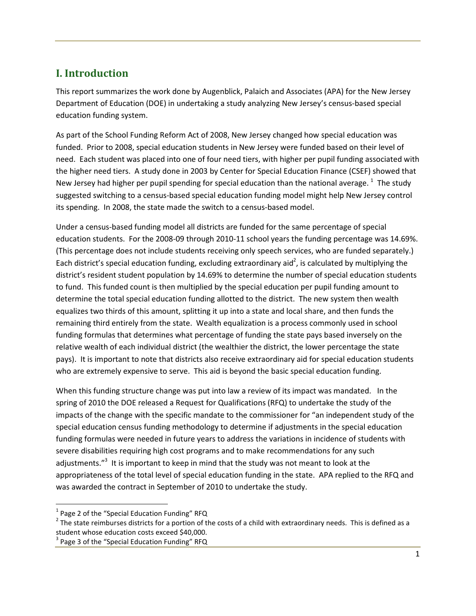## **I. Introduction**

This report summarizes the work done by Augenblick, Palaich and Associates (APA) for the New Jersey Department of Education (DOE) in undertaking a study analyzing New Jersey's census-based special education funding system.

As part of the School Funding Reform Act of 2008, New Jersey changed how special education was funded. Prior to 2008, special education students in New Jersey were funded based on their level of need. Each student was placed into one of four need tiers, with higher per pupil funding associated with the higher need tiers. A study done in 2003 by Center for Special Education Finance (CSEF) showed that New Jersey had higher per pupil spending for special education than the national average.  $^1$  The study suggested switching to a census-based special education funding model might help New Jersey control its spending. In 2008, the state made the switch to a census-based model.

Under a census-based funding model all districts are funded for the same percentage of special education students. For the 2008-09 through 2010-11 school years the funding percentage was 14.69%. (This percentage does not include students receiving only speech services, who are funded separately.) Each district's special education funding, excluding extraordinary aid<sup>2</sup>, is calculated by multiplying the district's resident student population by 14.69% to determine the number of special education students to fund. This funded count is then multiplied by the special education per pupil funding amount to determine the total special education funding allotted to the district. The new system then wealth equalizes two thirds of this amount, splitting it up into a state and local share, and then funds the remaining third entirely from the state. Wealth equalization is a process commonly used in school funding formulas that determines what percentage of funding the state pays based inversely on the relative wealth of each individual district (the wealthier the district, the lower percentage the state pays). It is important to note that districts also receive extraordinary aid for special education students who are extremely expensive to serve. This aid is beyond the basic special education funding.

When this funding structure change was put into law a review of its impact was mandated. In the spring of 2010 the DOE released a Request for Qualifications (RFQ) to undertake the study of the impacts of the change with the specific mandate to the commissioner for "an independent study of the special education census funding methodology to determine if adjustments in the special education funding formulas were needed in future years to address the variations in incidence of students with severe disabilities requiring high cost programs and to make recommendations for any such adjustments."<sup>3</sup> It is important to keep in mind that the study was not meant to look at the appropriateness of the total level of special education funding in the state. APA replied to the RFQ and was awarded the contract in September of 2010 to undertake the study.

 $\overline{\phantom{0}}$ 

 $1$  Page 2 of the "Special Education Funding" RFQ

 $^2$  The state reimburses districts for a portion of the costs of a child with extraordinary needs. This is defined as a student whose education costs exceed \$40,000.

<sup>3</sup> Page 3 of the "Special Education Funding" RFQ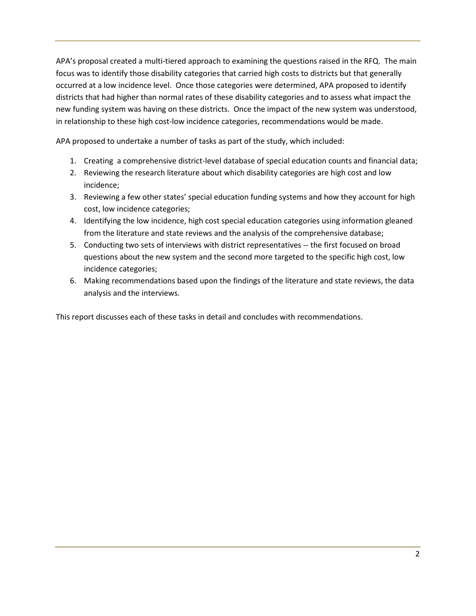APA's proposal created a multi-tiered approach to examining the questions raised in the RFQ. The main focus was to identify those disability categories that carried high costs to districts but that generally occurred at a low incidence level. Once those categories were determined, APA proposed to identify districts that had higher than normal rates of these disability categories and to assess what impact the new funding system was having on these districts. Once the impact of the new system was understood, in relationship to these high cost-low incidence categories, recommendations would be made.

APA proposed to undertake a number of tasks as part of the study, which included:

- 1. Creating a comprehensive district-level database of special education counts and financial data;
- 2. Reviewing the research literature about which disability categories are high cost and low incidence;
- 3. Reviewing a few other states' special education funding systems and how they account for high cost, low incidence categories;
- 4. Identifying the low incidence, high cost special education categories using information gleaned from the literature and state reviews and the analysis of the comprehensive database;
- 5. Conducting two sets of interviews with district representatives -- the first focused on broad questions about the new system and the second more targeted to the specific high cost, low incidence categories;
- 6. Making recommendations based upon the findings of the literature and state reviews, the data analysis and the interviews.

This report discusses each of these tasks in detail and concludes with recommendations.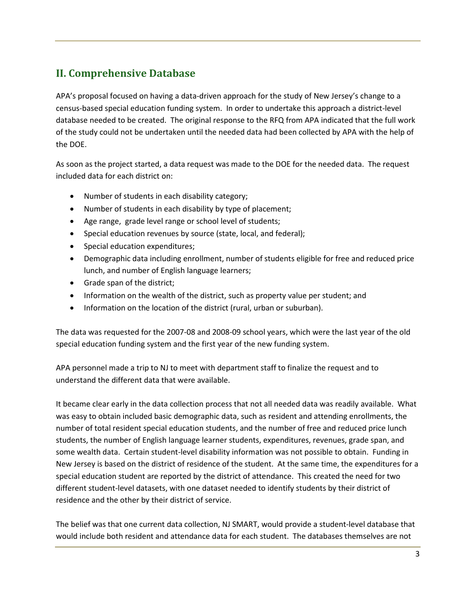## **II. Comprehensive Database**

APA's proposal focused on having a data-driven approach for the study of New Jersey's change to a census-based special education funding system. In order to undertake this approach a district-level database needed to be created. The original response to the RFQ from APA indicated that the full work of the study could not be undertaken until the needed data had been collected by APA with the help of the DOE.

As soon as the project started, a data request was made to the DOE for the needed data. The request included data for each district on:

- Number of students in each disability category;
- Number of students in each disability by type of placement;
- Age range, grade level range or school level of students;
- Special education revenues by source (state, local, and federal);
- Special education expenditures;
- Demographic data including enrollment, number of students eligible for free and reduced price lunch, and number of English language learners;
- Grade span of the district;
- Information on the wealth of the district, such as property value per student; and
- Information on the location of the district (rural, urban or suburban).

The data was requested for the 2007-08 and 2008-09 school years, which were the last year of the old special education funding system and the first year of the new funding system.

APA personnel made a trip to NJ to meet with department staff to finalize the request and to understand the different data that were available.

It became clear early in the data collection process that not all needed data was readily available. What was easy to obtain included basic demographic data, such as resident and attending enrollments, the number of total resident special education students, and the number of free and reduced price lunch students, the number of English language learner students, expenditures, revenues, grade span, and some wealth data. Certain student-level disability information was not possible to obtain. Funding in New Jersey is based on the district of residence of the student. At the same time, the expenditures for a special education student are reported by the district of attendance. This created the need for two different student-level datasets, with one dataset needed to identify students by their district of residence and the other by their district of service.

The belief was that one current data collection, NJ SMART, would provide a student-level database that would include both resident and attendance data for each student. The databases themselves are not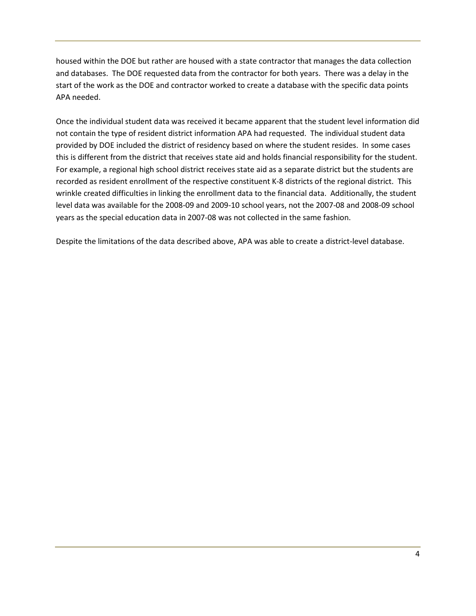housed within the DOE but rather are housed with a state contractor that manages the data collection and databases. The DOE requested data from the contractor for both years. There was a delay in the start of the work as the DOE and contractor worked to create a database with the specific data points APA needed.

Once the individual student data was received it became apparent that the student level information did not contain the type of resident district information APA had requested. The individual student data provided by DOE included the district of residency based on where the student resides. In some cases this is different from the district that receives state aid and holds financial responsibility for the student. For example, a regional high school district receives state aid as a separate district but the students are recorded as resident enrollment of the respective constituent K-8 districts of the regional district. This wrinkle created difficulties in linking the enrollment data to the financial data. Additionally, the student level data was available for the 2008-09 and 2009-10 school years, not the 2007-08 and 2008-09 school years as the special education data in 2007-08 was not collected in the same fashion.

Despite the limitations of the data described above, APA was able to create a district-level database.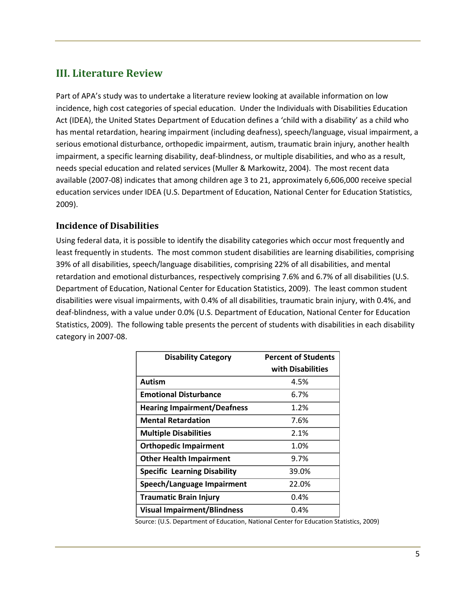## **III. Literature Review**

Part of APA's study was to undertake a literature review looking at available information on low incidence, high cost categories of special education. Under the Individuals with Disabilities Education Act (IDEA), the United States Department of Education defines a 'child with a disability' as a child who has mental retardation, hearing impairment (including deafness), speech/language, visual impairment, a serious emotional disturbance, orthopedic impairment, autism, traumatic brain injury, another health impairment, a specific learning disability, deaf-blindness, or multiple disabilities, and who as a result, needs special education and related services (Muller & Markowitz, 2004). The most recent data available (2007-08) indicates that among children age 3 to 21, approximately 6,606,000 receive special education services under IDEA (U.S. Department of Education, National Center for Education Statistics, 2009).

## **Incidence of Disabilities**

Using federal data, it is possible to identify the disability categories which occur most frequently and least frequently in students. The most common student disabilities are learning disabilities, comprising 39% of all disabilities, speech/language disabilities, comprising 22% of all disabilities, and mental retardation and emotional disturbances, respectively comprising 7.6% and 6.7% of all disabilities (U.S. Department of Education, National Center for Education Statistics, 2009). The least common student disabilities were visual impairments, with 0.4% of all disabilities, traumatic brain injury, with 0.4%, and deaf-blindness, with a value under 0.0% (U.S. Department of Education, National Center for Education Statistics, 2009). The following table presents the percent of students with disabilities in each disability category in 2007-08.

| <b>Disability Category</b>          | <b>Percent of Students</b> |
|-------------------------------------|----------------------------|
|                                     | with Disabilities          |
| Autism                              | 4.5%                       |
| <b>Emotional Disturbance</b>        | 6.7%                       |
| <b>Hearing Impairment/Deafness</b>  | 1.2%                       |
| <b>Mental Retardation</b>           | 7.6%                       |
| <b>Multiple Disabilities</b>        | 2.1%                       |
| <b>Orthopedic Impairment</b>        | 1.0%                       |
| <b>Other Health Impairment</b>      | 9.7%                       |
| <b>Specific Learning Disability</b> | 39.0%                      |
| Speech/Language Impairment          | 22.0%                      |
| <b>Traumatic Brain Injury</b>       | 0.4%                       |
| <b>Visual Impairment/Blindness</b>  | 0.4%                       |

Source: (U.S. Department of Education, National Center for Education Statistics, 2009)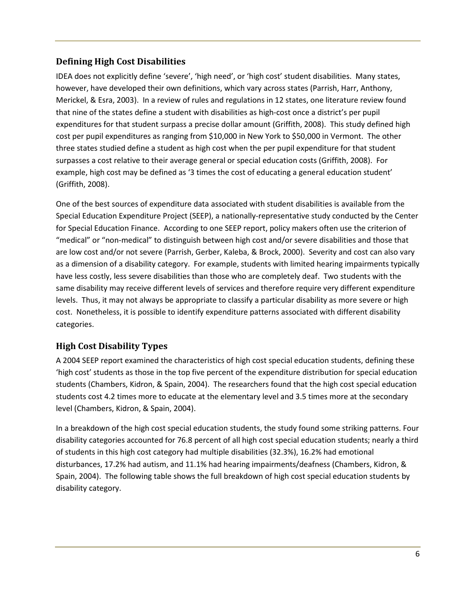## **Defining High Cost Disabilities**

IDEA does not explicitly define 'severe', 'high need', or 'high cost' student disabilities. Many states, however, have developed their own definitions, which vary across states (Parrish, Harr, Anthony, Merickel, & Esra, 2003). In a review of rules and regulations in 12 states, one literature review found that nine of the states define a student with disabilities as high-cost once a district's per pupil expenditures for that student surpass a precise dollar amount (Griffith, 2008). This study defined high cost per pupil expenditures as ranging from \$10,000 in New York to \$50,000 in Vermont. The other three states studied define a student as high cost when the per pupil expenditure for that student surpasses a cost relative to their average general or special education costs (Griffith, 2008). For example, high cost may be defined as '3 times the cost of educating a general education student' (Griffith, 2008).

One of the best sources of expenditure data associated with student disabilities is available from the Special Education Expenditure Project (SEEP), a nationally-representative study conducted by the Center for Special Education Finance. According to one SEEP report, policy makers often use the criterion of "medical" or "non-medical" to distinguish between high cost and/or severe disabilities and those that are low cost and/or not severe (Parrish, Gerber, Kaleba, & Brock, 2000). Severity and cost can also vary as a dimension of a disability category. For example, students with limited hearing impairments typically have less costly, less severe disabilities than those who are completely deaf. Two students with the same disability may receive different levels of services and therefore require very different expenditure levels. Thus, it may not always be appropriate to classify a particular disability as more severe or high cost. Nonetheless, it is possible to identify expenditure patterns associated with different disability categories.

## **High Cost Disability Types**

A 2004 SEEP report examined the characteristics of high cost special education students, defining these 'high cost' students as those in the top five percent of the expenditure distribution for special education students (Chambers, Kidron, & Spain, 2004). The researchers found that the high cost special education students cost 4.2 times more to educate at the elementary level and 3.5 times more at the secondary level (Chambers, Kidron, & Spain, 2004).

In a breakdown of the high cost special education students, the study found some striking patterns. Four disability categories accounted for 76.8 percent of all high cost special education students; nearly a third of students in this high cost category had multiple disabilities (32.3%), 16.2% had emotional disturbances, 17.2% had autism, and 11.1% had hearing impairments/deafness (Chambers, Kidron, & Spain, 2004). The following table shows the full breakdown of high cost special education students by disability category.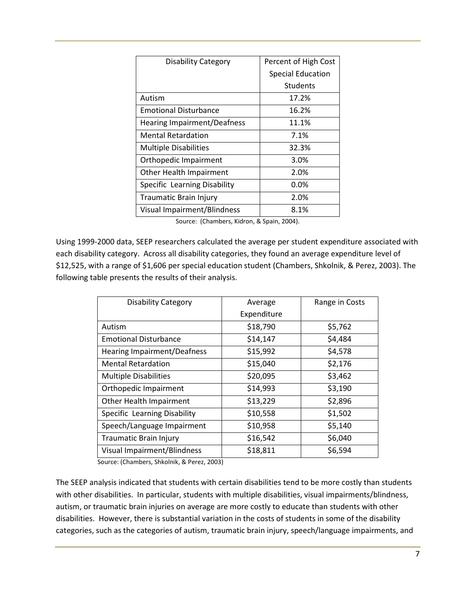| <b>Disability Category</b>         | Percent of High Cost     |
|------------------------------------|--------------------------|
|                                    | <b>Special Education</b> |
|                                    | Students                 |
| Autism                             | 17.2%                    |
| <b>Emotional Disturbance</b>       | 16.2%                    |
| <b>Hearing Impairment/Deafness</b> | 11.1%                    |
| <b>Mental Retardation</b>          | 7.1%                     |
| <b>Multiple Disabilities</b>       | 32.3%                    |
| Orthopedic Impairment              | 3.0%                     |
| Other Health Impairment            | 2.0%                     |
| Specific Learning Disability       | $0.0\%$                  |
| Traumatic Brain Injury             | 2.0%                     |
| <b>Visual Impairment/Blindness</b> | 8.1%                     |

Source: (Chambers, Kidron, & Spain, 2004).

Using 1999-2000 data, SEEP researchers calculated the average per student expenditure associated with each disability category. Across all disability categories, they found an average expenditure level of \$12,525, with a range of \$1,606 per special education student (Chambers, Shkolnik, & Perez, 2003). The following table presents the results of their analysis.

| <b>Disability Category</b>         | Average     | Range in Costs |
|------------------------------------|-------------|----------------|
|                                    | Expenditure |                |
| Autism                             | \$18,790    | \$5,762        |
| <b>Emotional Disturbance</b>       | \$14,147    | \$4,484        |
| <b>Hearing Impairment/Deafness</b> | \$15,992    | \$4,578        |
| <b>Mental Retardation</b>          | \$15,040    | \$2,176        |
| <b>Multiple Disabilities</b>       | \$20,095    | \$3,462        |
| Orthopedic Impairment              | \$14,993    | \$3,190        |
| Other Health Impairment            | \$13,229    | \$2,896        |
| Specific Learning Disability       | \$10,558    | \$1,502        |
| Speech/Language Impairment         | \$10,958    | \$5,140        |
| <b>Traumatic Brain Injury</b>      | \$16,542    | \$6,040        |
| <b>Visual Impairment/Blindness</b> | \$18,811    | \$6,594        |

Source: (Chambers, Shkolnik, & Perez, 2003)

The SEEP analysis indicated that students with certain disabilities tend to be more costly than students with other disabilities. In particular, students with multiple disabilities, visual impairments/blindness, autism, or traumatic brain injuries on average are more costly to educate than students with other disabilities. However, there is substantial variation in the costs of students in some of the disability categories, such as the categories of autism, traumatic brain injury, speech/language impairments, and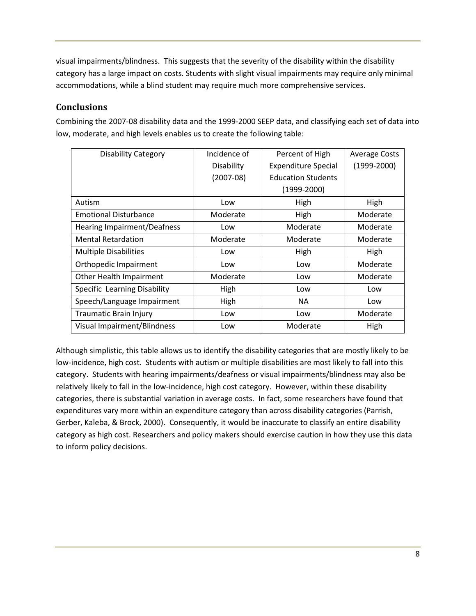visual impairments/blindness. This suggests that the severity of the disability within the disability category has a large impact on costs. Students with slight visual impairments may require only minimal accommodations, while a blind student may require much more comprehensive services.

## **Conclusions**

Combining the 2007-08 disability data and the 1999-2000 SEEP data, and classifying each set of data into low, moderate, and high levels enables us to create the following table:

| <b>Disability Category</b>         | Incidence of | Percent of High            | <b>Average Costs</b> |
|------------------------------------|--------------|----------------------------|----------------------|
|                                    | Disability   | <b>Expenditure Special</b> | $(1999-2000)$        |
|                                    | $(2007-08)$  | <b>Education Students</b>  |                      |
|                                    |              | $(1999-2000)$              |                      |
| Autism                             | Low          | High                       | High                 |
| <b>Emotional Disturbance</b>       | Moderate     | High                       | Moderate             |
| <b>Hearing Impairment/Deafness</b> | Low          | Moderate                   | Moderate             |
| Mental Retardation                 | Moderate     | Moderate                   | Moderate             |
| <b>Multiple Disabilities</b>       | Low          | High                       | High                 |
| Orthopedic Impairment              | Low          | Low                        | Moderate             |
| Other Health Impairment            | Moderate     | Low                        | Moderate             |
| Specific Learning Disability       | High         | Low                        | Low                  |
| Speech/Language Impairment         | High         | <b>NA</b>                  | Low                  |
| <b>Traumatic Brain Injury</b>      | Low          | Low                        | Moderate             |
| Visual Impairment/Blindness        | Low          | Moderate                   | High                 |

Although simplistic, this table allows us to identify the disability categories that are mostly likely to be low-incidence, high cost. Students with autism or multiple disabilities are most likely to fall into this category. Students with hearing impairments/deafness or visual impairments/blindness may also be relatively likely to fall in the low-incidence, high cost category. However, within these disability categories, there is substantial variation in average costs. In fact, some researchers have found that expenditures vary more within an expenditure category than across disability categories (Parrish, Gerber, Kaleba, & Brock, 2000). Consequently, it would be inaccurate to classify an entire disability category as high cost. Researchers and policy makers should exercise caution in how they use this data to inform policy decisions.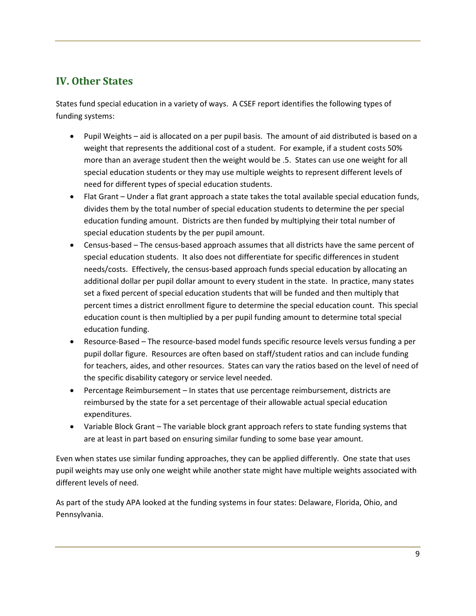## **IV. Other States**

States fund special education in a variety of ways. A CSEF report identifies the following types of funding systems:

- Pupil Weights aid is allocated on a per pupil basis. The amount of aid distributed is based on a weight that represents the additional cost of a student. For example, if a student costs 50% more than an average student then the weight would be .5. States can use one weight for all special education students or they may use multiple weights to represent different levels of need for different types of special education students.
- Flat Grant Under a flat grant approach a state takes the total available special education funds, divides them by the total number of special education students to determine the per special education funding amount. Districts are then funded by multiplying their total number of special education students by the per pupil amount.
- Census-based The census-based approach assumes that all districts have the same percent of special education students. It also does not differentiate for specific differences in student needs/costs. Effectively, the census-based approach funds special education by allocating an additional dollar per pupil dollar amount to every student in the state. In practice, many states set a fixed percent of special education students that will be funded and then multiply that percent times a district enrollment figure to determine the special education count. This special education count is then multiplied by a per pupil funding amount to determine total special education funding.
- Resource-Based The resource-based model funds specific resource levels versus funding a per pupil dollar figure. Resources are often based on staff/student ratios and can include funding for teachers, aides, and other resources. States can vary the ratios based on the level of need of the specific disability category or service level needed.
- Percentage Reimbursement In states that use percentage reimbursement, districts are reimbursed by the state for a set percentage of their allowable actual special education expenditures.
- Variable Block Grant The variable block grant approach refers to state funding systems that are at least in part based on ensuring similar funding to some base year amount.

Even when states use similar funding approaches, they can be applied differently. One state that uses pupil weights may use only one weight while another state might have multiple weights associated with different levels of need.

As part of the study APA looked at the funding systems in four states: Delaware, Florida, Ohio, and Pennsylvania.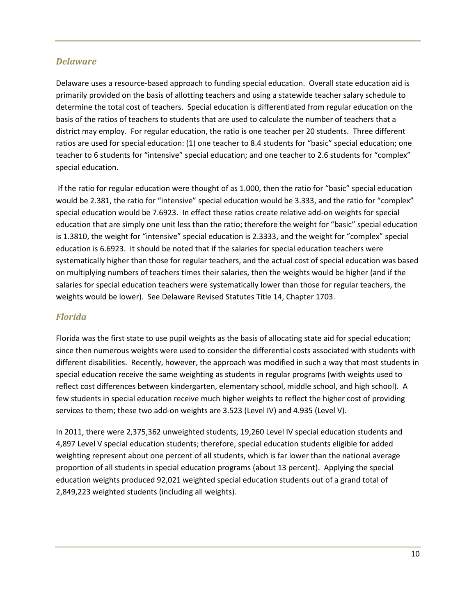## *Delaware*

Delaware uses a resource-based approach to funding special education. Overall state education aid is primarily provided on the basis of allotting teachers and using a statewide teacher salary schedule to determine the total cost of teachers. Special education is differentiated from regular education on the basis of the ratios of teachers to students that are used to calculate the number of teachers that a district may employ. For regular education, the ratio is one teacher per 20 students. Three different ratios are used for special education: (1) one teacher to 8.4 students for "basic" special education; one teacher to 6 students for "intensive" special education; and one teacher to 2.6 students for "complex" special education.

 If the ratio for regular education were thought of as 1.000, then the ratio for "basic" special education would be 2.381, the ratio for "intensive" special education would be 3.333, and the ratio for "complex" special education would be 7.6923. In effect these ratios create relative add-on weights for special education that are simply one unit less than the ratio; therefore the weight for "basic" special education is 1.3810, the weight for "intensive" special education is 2.3333, and the weight for "complex" special education is 6.6923. It should be noted that if the salaries for special education teachers were systematically higher than those for regular teachers, and the actual cost of special education was based on multiplying numbers of teachers times their salaries, then the weights would be higher (and if the salaries for special education teachers were systematically lower than those for regular teachers, the weights would be lower). See Delaware Revised Statutes Title 14, Chapter 1703.

## *Florida*

Florida was the first state to use pupil weights as the basis of allocating state aid for special education; since then numerous weights were used to consider the differential costs associated with students with different disabilities. Recently, however, the approach was modified in such a way that most students in special education receive the same weighting as students in regular programs (with weights used to reflect cost differences between kindergarten, elementary school, middle school, and high school). A few students in special education receive much higher weights to reflect the higher cost of providing services to them; these two add-on weights are 3.523 (Level IV) and 4.935 (Level V).

In 2011, there were 2,375,362 unweighted students, 19,260 Level IV special education students and 4,897 Level V special education students; therefore, special education students eligible for added weighting represent about one percent of all students, which is far lower than the national average proportion of all students in special education programs (about 13 percent). Applying the special education weights produced 92,021 weighted special education students out of a grand total of 2,849,223 weighted students (including all weights).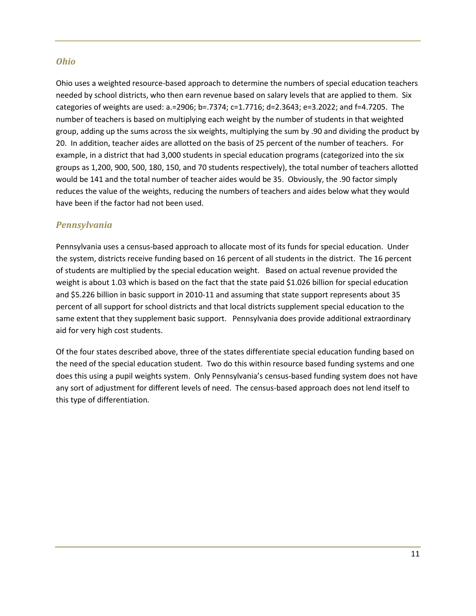#### *Ohio*

Ohio uses a weighted resource-based approach to determine the numbers of special education teachers needed by school districts, who then earn revenue based on salary levels that are applied to them. Six categories of weights are used: a.=2906; b=.7374; c=1.7716; d=2.3643; e=3.2022; and f=4.7205. The number of teachers is based on multiplying each weight by the number of students in that weighted group, adding up the sums across the six weights, multiplying the sum by .90 and dividing the product by 20. In addition, teacher aides are allotted on the basis of 25 percent of the number of teachers. For example, in a district that had 3,000 students in special education programs (categorized into the six groups as 1,200, 900, 500, 180, 150, and 70 students respectively), the total number of teachers allotted would be 141 and the total number of teacher aides would be 35. Obviously, the .90 factor simply reduces the value of the weights, reducing the numbers of teachers and aides below what they would have been if the factor had not been used.

## *Pennsylvania*

Pennsylvania uses a census-based approach to allocate most of its funds for special education. Under the system, districts receive funding based on 16 percent of all students in the district. The 16 percent of students are multiplied by the special education weight. Based on actual revenue provided the weight is about 1.03 which is based on the fact that the state paid \$1.026 billion for special education and \$5.226 billion in basic support in 2010-11 and assuming that state support represents about 35 percent of all support for school districts and that local districts supplement special education to the same extent that they supplement basic support. Pennsylvania does provide additional extraordinary aid for very high cost students.

Of the four states described above, three of the states differentiate special education funding based on the need of the special education student. Two do this within resource based funding systems and one does this using a pupil weights system. Only Pennsylvania's census-based funding system does not have any sort of adjustment for different levels of need. The census-based approach does not lend itself to this type of differentiation.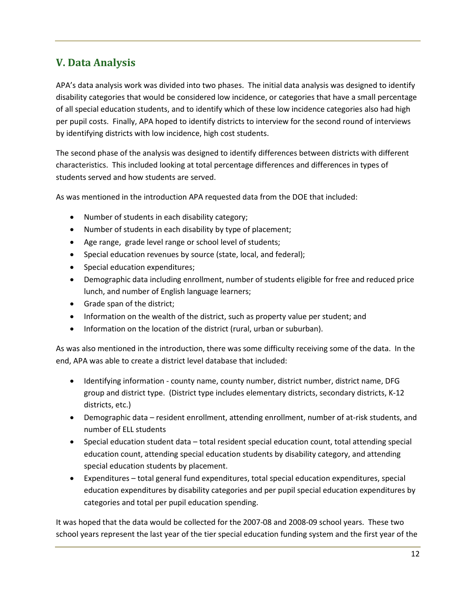## **V. Data Analysis**

APA's data analysis work was divided into two phases. The initial data analysis was designed to identify disability categories that would be considered low incidence, or categories that have a small percentage of all special education students, and to identify which of these low incidence categories also had high per pupil costs. Finally, APA hoped to identify districts to interview for the second round of interviews by identifying districts with low incidence, high cost students.

The second phase of the analysis was designed to identify differences between districts with different characteristics. This included looking at total percentage differences and differences in types of students served and how students are served.

As was mentioned in the introduction APA requested data from the DOE that included:

- Number of students in each disability category;
- Number of students in each disability by type of placement;
- Age range, grade level range or school level of students;
- Special education revenues by source (state, local, and federal);
- Special education expenditures;
- Demographic data including enrollment, number of students eligible for free and reduced price lunch, and number of English language learners;
- Grade span of the district;
- Information on the wealth of the district, such as property value per student; and
- Information on the location of the district (rural, urban or suburban).

As was also mentioned in the introduction, there was some difficulty receiving some of the data. In the end, APA was able to create a district level database that included:

- Identifying information county name, county number, district number, district name, DFG group and district type. (District type includes elementary districts, secondary districts, K-12 districts, etc.)
- Demographic data resident enrollment, attending enrollment, number of at-risk students, and number of ELL students
- Special education student data total resident special education count, total attending special education count, attending special education students by disability category, and attending special education students by placement.
- Expenditures total general fund expenditures, total special education expenditures, special education expenditures by disability categories and per pupil special education expenditures by categories and total per pupil education spending.

It was hoped that the data would be collected for the 2007-08 and 2008-09 school years. These two school years represent the last year of the tier special education funding system and the first year of the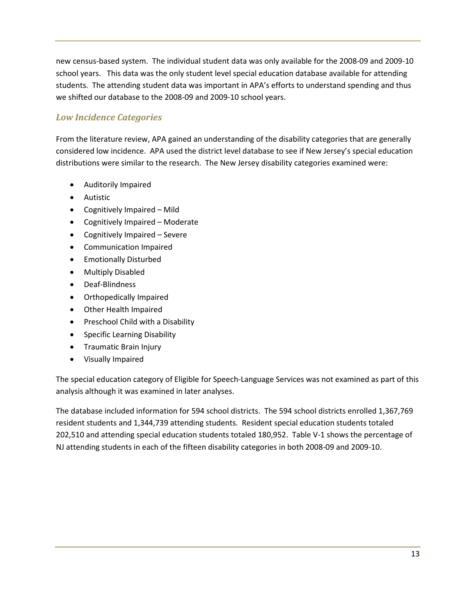new census-based system. The individual student data was only available for the 2008-09 and 2009-10 school years. This data was the only student level special education database available for attending students. The attending student data was important in APA's efforts to understand spending and thus we shifted our database to the 2008-09 and 2009-10 school years.

## *Low Incidence Categories*

From the literature review, APA gained an understanding of the disability categories that are generally considered low incidence. APA used the district level database to see if New Jersey's special education distributions were similar to the research. The New Jersey disability categories examined were:

- Auditorily Impaired
- Autistic
- Cognitively Impaired Mild
- Cognitively Impaired Moderate
- Cognitively Impaired Severe
- Communication Impaired
- Emotionally Disturbed
- Multiply Disabled
- Deaf-Blindness
- Orthopedically Impaired
- Other Health Impaired
- Preschool Child with a Disability
- Specific Learning Disability
- Traumatic Brain Injury
- Visually Impaired

The special education category of Eligible for Speech-Language Services was not examined as part of this analysis although it was examined in later analyses.

The database included information for 594 school districts. The 594 school districts enrolled 1,367,769 resident students and 1,344,739 attending students. Resident special education students totaled 202,510 and attending special education students totaled 180,952. Table V-1 shows the percentage of NJ attending students in each of the fifteen disability categories in both 2008-09 and 2009-10.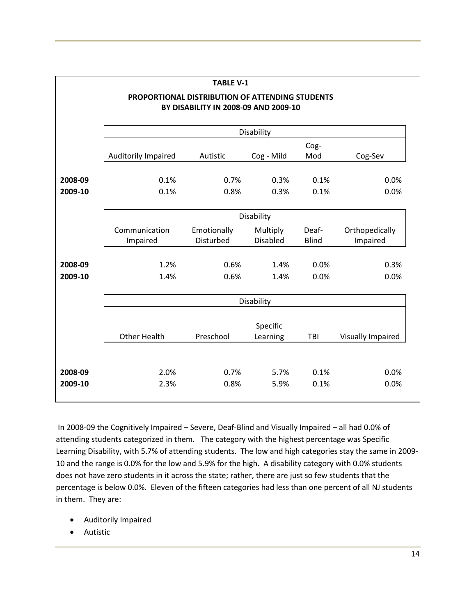| <b>TABLE V-1</b> |                     |                                                                                         |                 |              |                   |  |  |  |
|------------------|---------------------|-----------------------------------------------------------------------------------------|-----------------|--------------|-------------------|--|--|--|
|                  |                     | PROPORTIONAL DISTRIBUTION OF ATTENDING STUDENTS<br>BY DISABILITY IN 2008-09 AND 2009-10 |                 |              |                   |  |  |  |
|                  |                     |                                                                                         |                 |              |                   |  |  |  |
|                  |                     |                                                                                         | Disability      |              |                   |  |  |  |
|                  | Auditorily Impaired | Autistic                                                                                | Cog - Mild      | Cog-<br>Mod  | Cog-Sev           |  |  |  |
| 2008-09          | 0.1%                | 0.7%                                                                                    | 0.3%            | 0.1%         | 0.0%              |  |  |  |
| 2009-10          | 0.1%                | 0.8%                                                                                    | 0.3%            | 0.1%         | 0.0%              |  |  |  |
|                  |                     |                                                                                         | Disability      |              |                   |  |  |  |
|                  | Communication       | Emotionally                                                                             | Multiply        |              | Orthopedically    |  |  |  |
|                  | Impaired            | Disturbed                                                                               | <b>Disabled</b> | <b>Blind</b> | Impaired          |  |  |  |
| 2008-09          | 1.2%                | 0.6%                                                                                    | 1.4%            | 0.0%         | 0.3%              |  |  |  |
| 2009-10          | 1.4%                | 0.6%                                                                                    | 1.4%            | 0.0%         | 0.0%              |  |  |  |
|                  |                     |                                                                                         | Disability      |              |                   |  |  |  |
|                  |                     |                                                                                         | Specific        |              |                   |  |  |  |
|                  | <b>Other Health</b> | Preschool                                                                               | Learning        |              | Visually Impaired |  |  |  |
|                  |                     |                                                                                         |                 |              |                   |  |  |  |
| 2008-09          | 2.0%                | 0.7%                                                                                    | 5.7%            | 0.1%         | 0.0%              |  |  |  |
| 2009-10          | 2.3%                | 0.8%                                                                                    | 5.9%            | 0.1%         | 0.0%              |  |  |  |

 In 2008-09 the Cognitively Impaired – Severe, Deaf-Blind and Visually Impaired – all had 0.0% of attending students categorized in them. The category with the highest percentage was Specific Learning Disability, with 5.7% of attending students. The low and high categories stay the same in 2009- 10 and the range is 0.0% for the low and 5.9% for the high. A disability category with 0.0% students does not have zero students in it across the state; rather, there are just so few students that the percentage is below 0.0%. Eleven of the fifteen categories had less than one percent of all NJ students in them. They are:

- Auditorily Impaired
- Autistic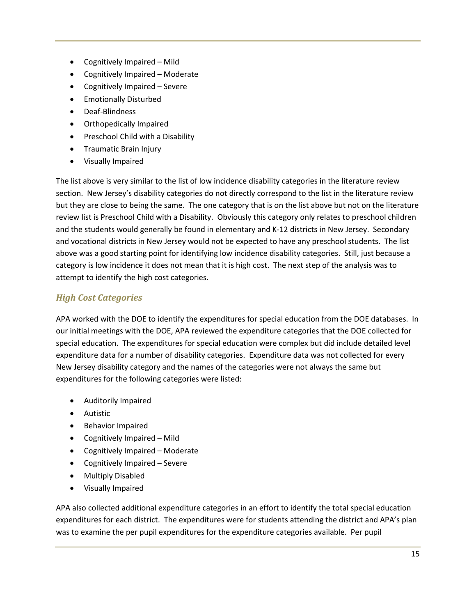- Cognitively Impaired Mild
- Cognitively Impaired Moderate
- Cognitively Impaired Severe
- Emotionally Disturbed
- Deaf-Blindness
- Orthopedically Impaired
- Preschool Child with a Disability
- Traumatic Brain Injury
- Visually Impaired

The list above is very similar to the list of low incidence disability categories in the literature review section. New Jersey's disability categories do not directly correspond to the list in the literature review but they are close to being the same. The one category that is on the list above but not on the literature review list is Preschool Child with a Disability. Obviously this category only relates to preschool children and the students would generally be found in elementary and K-12 districts in New Jersey. Secondary and vocational districts in New Jersey would not be expected to have any preschool students. The list above was a good starting point for identifying low incidence disability categories. Still, just because a category is low incidence it does not mean that it is high cost. The next step of the analysis was to attempt to identify the high cost categories.

## *High Cost Categories*

APA worked with the DOE to identify the expenditures for special education from the DOE databases. In our initial meetings with the DOE, APA reviewed the expenditure categories that the DOE collected for special education. The expenditures for special education were complex but did include detailed level expenditure data for a number of disability categories. Expenditure data was not collected for every New Jersey disability category and the names of the categories were not always the same but expenditures for the following categories were listed:

- Auditorily Impaired
- Autistic
- Behavior Impaired
- Cognitively Impaired Mild
- Cognitively Impaired Moderate
- Cognitively Impaired Severe
- Multiply Disabled
- Visually Impaired

APA also collected additional expenditure categories in an effort to identify the total special education expenditures for each district. The expenditures were for students attending the district and APA's plan was to examine the per pupil expenditures for the expenditure categories available. Per pupil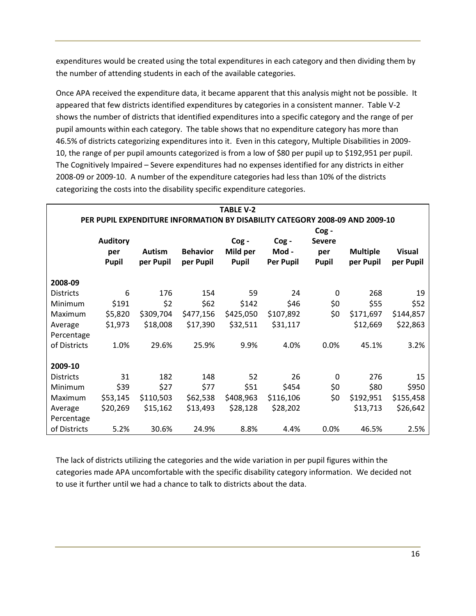expenditures would be created using the total expenditures in each category and then dividing them by the number of attending students in each of the available categories.

Once APA received the expenditure data, it became apparent that this analysis might not be possible. It appeared that few districts identified expenditures by categories in a consistent manner. Table V-2 shows the number of districts that identified expenditures into a specific category and the range of per pupil amounts within each category. The table shows that no expenditure category has more than 46.5% of districts categorizing expenditures into it. Even in this category, Multiple Disabilities in 2009- 10, the range of per pupil amounts categorized is from a low of \$80 per pupil up to \$192,951 per pupil. The Cognitively Impaired – Severe expenditures had no expenses identified for any districts in either 2008-09 or 2009-10. A number of the expenditure categories had less than 10% of the districts categorizing the costs into the disability specific expenditure categories.

|                  |                                        |                            |                                                                                                              | <b>TABLE V-2</b>                 |                                   |                                           |                              |                            |
|------------------|----------------------------------------|----------------------------|--------------------------------------------------------------------------------------------------------------|----------------------------------|-----------------------------------|-------------------------------------------|------------------------------|----------------------------|
|                  | <b>Auditory</b><br>per<br><b>Pupil</b> | <b>Autism</b><br>per Pupil | PER PUPIL EXPENDITURE INFORMATION BY DISABILITY CATEGORY 2008-09 AND 2009-10<br><b>Behavior</b><br>per Pupil | Cog-<br>Mild per<br><b>Pupil</b> | Cog-<br>Mod -<br><b>Per Pupil</b> | $\log -$<br><b>Severe</b><br>per<br>Pupil | <b>Multiple</b><br>per Pupil | <b>Visual</b><br>per Pupil |
| 2008-09          |                                        |                            |                                                                                                              |                                  |                                   |                                           |                              |                            |
| <b>Districts</b> | 6                                      | 176                        | 154                                                                                                          | 59                               | 24                                | 0                                         | 268                          | 19                         |
| Minimum          | \$191                                  | \$2                        | \$62                                                                                                         | \$142                            | \$46                              | \$0                                       | \$55                         | \$52                       |
| Maximum          | \$5,820                                | \$309,704                  | \$477,156                                                                                                    | \$425,050                        | \$107,892                         | \$0                                       | \$171,697                    | \$144,857                  |
| Average          | \$1,973                                | \$18,008                   | \$17,390                                                                                                     | \$32,511                         | \$31,117                          |                                           | \$12,669                     | \$22,863                   |
| Percentage       |                                        |                            |                                                                                                              |                                  |                                   |                                           |                              |                            |
| of Districts     | 1.0%                                   | 29.6%                      | 25.9%                                                                                                        | 9.9%                             | 4.0%                              | 0.0%                                      | 45.1%                        | 3.2%                       |
|                  |                                        |                            |                                                                                                              |                                  |                                   |                                           |                              |                            |
| 2009-10          |                                        |                            |                                                                                                              |                                  |                                   |                                           |                              |                            |
| <b>Districts</b> | 31                                     | 182                        | 148                                                                                                          | 52                               | 26                                | $\Omega$                                  | 276                          | 15                         |
| Minimum          | \$39                                   | \$27                       | \$77                                                                                                         | \$51                             | \$454                             | \$0                                       | \$80                         | \$950                      |
| Maximum          | \$53,145                               | \$110,503                  | \$62,538                                                                                                     | \$408,963                        | \$116,106                         | \$0                                       | \$192,951                    | \$155,458                  |
| Average          | \$20,269                               | \$15,162                   | \$13,493                                                                                                     | \$28,128                         | \$28,202                          |                                           | \$13,713                     | \$26,642                   |
| Percentage       |                                        |                            |                                                                                                              |                                  |                                   |                                           |                              |                            |
| of Districts     | 5.2%                                   | 30.6%                      | 24.9%                                                                                                        | 8.8%                             | 4.4%                              | 0.0%                                      | 46.5%                        | 2.5%                       |

The lack of districts utilizing the categories and the wide variation in per pupil figures within the categories made APA uncomfortable with the specific disability category information. We decided not to use it further until we had a chance to talk to districts about the data.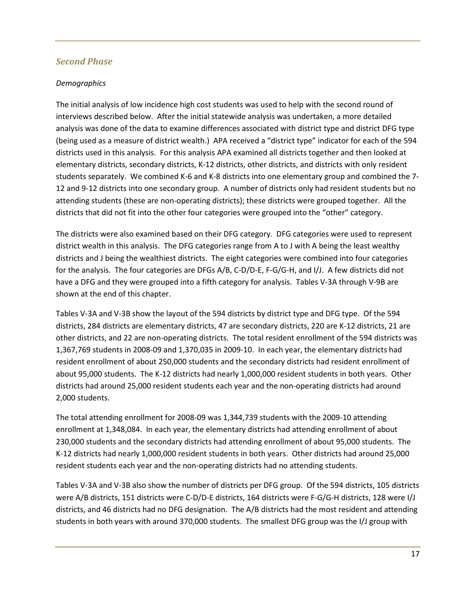#### *Second Phase*

#### *Demographics*

The initial analysis of low incidence high cost students was used to help with the second round of interviews described below. After the initial statewide analysis was undertaken, a more detailed analysis was done of the data to examine differences associated with district type and district DFG type (being used as a measure of district wealth.) APA received a "district type" indicator for each of the 594 districts used in this analysis. For this analysis APA examined all districts together and then looked at elementary districts, secondary districts, K-12 districts, other districts, and districts with only resident students separately. We combined K-6 and K-8 districts into one elementary group and combined the 7- 12 and 9-12 districts into one secondary group. A number of districts only had resident students but no attending students (these are non-operating districts); these districts were grouped together. All the districts that did not fit into the other four categories were grouped into the "other" category.

The districts were also examined based on their DFG category. DFG categories were used to represent district wealth in this analysis. The DFG categories range from A to J with A being the least wealthy districts and J being the wealthiest districts. The eight categories were combined into four categories for the analysis. The four categories are DFGs A/B, C-D/D-E, F-G/G-H, and I/J. A few districts did not have a DFG and they were grouped into a fifth category for analysis. Tables V-3A through V-9B are shown at the end of this chapter.

Tables V-3A and V-3B show the layout of the 594 districts by district type and DFG type. Of the 594 districts, 284 districts are elementary districts, 47 are secondary districts, 220 are K-12 districts, 21 are other districts, and 22 are non-operating districts. The total resident enrollment of the 594 districts was 1,367,769 students in 2008-09 and 1,370,035 in 2009-10. In each year, the elementary districts had resident enrollment of about 250,000 students and the secondary districts had resident enrollment of about 95,000 students. The K-12 districts had nearly 1,000,000 resident students in both years. Other districts had around 25,000 resident students each year and the non-operating districts had around 2,000 students.

The total attending enrollment for 2008-09 was 1,344,739 students with the 2009-10 attending enrollment at 1,348,084. In each year, the elementary districts had attending enrollment of about 230,000 students and the secondary districts had attending enrollment of about 95,000 students. The K-12 districts had nearly 1,000,000 resident students in both years. Other districts had around 25,000 resident students each year and the non-operating districts had no attending students.

Tables V-3A and V-3B also show the number of districts per DFG group. Of the 594 districts, 105 districts were A/B districts, 151 districts were C-D/D-E districts, 164 districts were F-G/G-H districts, 128 were I/J districts, and 46 districts had no DFG designation. The A/B districts had the most resident and attending students in both years with around 370,000 students. The smallest DFG group was the I/J group with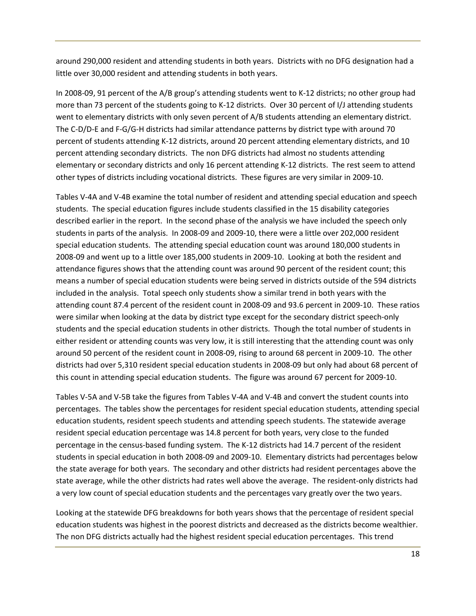around 290,000 resident and attending students in both years. Districts with no DFG designation had a little over 30,000 resident and attending students in both years.

In 2008-09, 91 percent of the A/B group's attending students went to K-12 districts; no other group had more than 73 percent of the students going to K-12 districts. Over 30 percent of I/J attending students went to elementary districts with only seven percent of A/B students attending an elementary district. The C-D/D-E and F-G/G-H districts had similar attendance patterns by district type with around 70 percent of students attending K-12 districts, around 20 percent attending elementary districts, and 10 percent attending secondary districts. The non DFG districts had almost no students attending elementary or secondary districts and only 16 percent attending K-12 districts. The rest seem to attend other types of districts including vocational districts. These figures are very similar in 2009-10.

Tables V-4A and V-4B examine the total number of resident and attending special education and speech students. The special education figures include students classified in the 15 disability categories described earlier in the report. In the second phase of the analysis we have included the speech only students in parts of the analysis. In 2008-09 and 2009-10, there were a little over 202,000 resident special education students. The attending special education count was around 180,000 students in 2008-09 and went up to a little over 185,000 students in 2009-10. Looking at both the resident and attendance figures shows that the attending count was around 90 percent of the resident count; this means a number of special education students were being served in districts outside of the 594 districts included in the analysis. Total speech only students show a similar trend in both years with the attending count 87.4 percent of the resident count in 2008-09 and 93.6 percent in 2009-10. These ratios were similar when looking at the data by district type except for the secondary district speech-only students and the special education students in other districts. Though the total number of students in either resident or attending counts was very low, it is still interesting that the attending count was only around 50 percent of the resident count in 2008-09, rising to around 68 percent in 2009-10. The other districts had over 5,310 resident special education students in 2008-09 but only had about 68 percent of this count in attending special education students. The figure was around 67 percent for 2009-10.

Tables V-5A and V-5B take the figures from Tables V-4A and V-4B and convert the student counts into percentages. The tables show the percentages for resident special education students, attending special education students, resident speech students and attending speech students. The statewide average resident special education percentage was 14.8 percent for both years, very close to the funded percentage in the census-based funding system. The K-12 districts had 14.7 percent of the resident students in special education in both 2008-09 and 2009-10. Elementary districts had percentages below the state average for both years. The secondary and other districts had resident percentages above the state average, while the other districts had rates well above the average. The resident-only districts had a very low count of special education students and the percentages vary greatly over the two years.

Looking at the statewide DFG breakdowns for both years shows that the percentage of resident special education students was highest in the poorest districts and decreased as the districts become wealthier. The non DFG districts actually had the highest resident special education percentages. This trend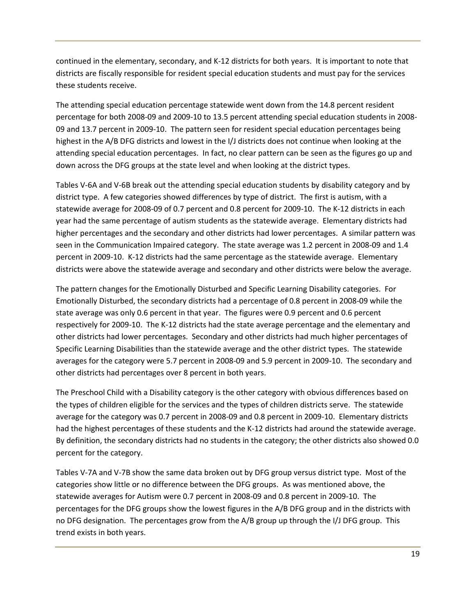continued in the elementary, secondary, and K-12 districts for both years. It is important to note that districts are fiscally responsible for resident special education students and must pay for the services these students receive.

The attending special education percentage statewide went down from the 14.8 percent resident percentage for both 2008-09 and 2009-10 to 13.5 percent attending special education students in 2008- 09 and 13.7 percent in 2009-10. The pattern seen for resident special education percentages being highest in the A/B DFG districts and lowest in the I/J districts does not continue when looking at the attending special education percentages. In fact, no clear pattern can be seen as the figures go up and down across the DFG groups at the state level and when looking at the district types.

Tables V-6A and V-6B break out the attending special education students by disability category and by district type. A few categories showed differences by type of district. The first is autism, with a statewide average for 2008-09 of 0.7 percent and 0.8 percent for 2009-10. The K-12 districts in each year had the same percentage of autism students as the statewide average. Elementary districts had higher percentages and the secondary and other districts had lower percentages. A similar pattern was seen in the Communication Impaired category. The state average was 1.2 percent in 2008-09 and 1.4 percent in 2009-10. K-12 districts had the same percentage as the statewide average. Elementary districts were above the statewide average and secondary and other districts were below the average.

The pattern changes for the Emotionally Disturbed and Specific Learning Disability categories. For Emotionally Disturbed, the secondary districts had a percentage of 0.8 percent in 2008-09 while the state average was only 0.6 percent in that year. The figures were 0.9 percent and 0.6 percent respectively for 2009-10. The K-12 districts had the state average percentage and the elementary and other districts had lower percentages. Secondary and other districts had much higher percentages of Specific Learning Disabilities than the statewide average and the other district types. The statewide averages for the category were 5.7 percent in 2008-09 and 5.9 percent in 2009-10. The secondary and other districts had percentages over 8 percent in both years.

The Preschool Child with a Disability category is the other category with obvious differences based on the types of children eligible for the services and the types of children districts serve. The statewide average for the category was 0.7 percent in 2008-09 and 0.8 percent in 2009-10. Elementary districts had the highest percentages of these students and the K-12 districts had around the statewide average. By definition, the secondary districts had no students in the category; the other districts also showed 0.0 percent for the category.

Tables V-7A and V-7B show the same data broken out by DFG group versus district type. Most of the categories show little or no difference between the DFG groups. As was mentioned above, the statewide averages for Autism were 0.7 percent in 2008-09 and 0.8 percent in 2009-10. The percentages for the DFG groups show the lowest figures in the A/B DFG group and in the districts with no DFG designation. The percentages grow from the A/B group up through the I/J DFG group. This trend exists in both years.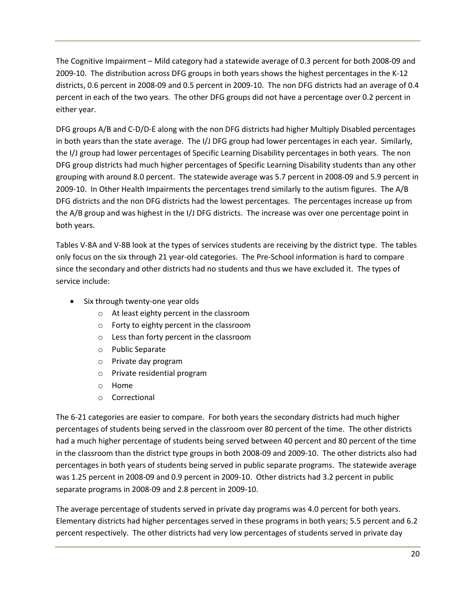The Cognitive Impairment – Mild category had a statewide average of 0.3 percent for both 2008-09 and 2009-10. The distribution across DFG groups in both years shows the highest percentages in the K-12 districts, 0.6 percent in 2008-09 and 0.5 percent in 2009-10. The non DFG districts had an average of 0.4 percent in each of the two years. The other DFG groups did not have a percentage over 0.2 percent in either year.

DFG groups A/B and C-D/D-E along with the non DFG districts had higher Multiply Disabled percentages in both years than the state average. The I/J DFG group had lower percentages in each year. Similarly, the I/J group had lower percentages of Specific Learning Disability percentages in both years. The non DFG group districts had much higher percentages of Specific Learning Disability students than any other grouping with around 8.0 percent. The statewide average was 5.7 percent in 2008-09 and 5.9 percent in 2009-10. In Other Health Impairments the percentages trend similarly to the autism figures. The A/B DFG districts and the non DFG districts had the lowest percentages. The percentages increase up from the A/B group and was highest in the I/J DFG districts. The increase was over one percentage point in both years.

Tables V-8A and V-8B look at the types of services students are receiving by the district type. The tables only focus on the six through 21 year-old categories. The Pre-School information is hard to compare since the secondary and other districts had no students and thus we have excluded it. The types of service include:

- Six through twenty-one year olds
	- o At least eighty percent in the classroom
	- o Forty to eighty percent in the classroom
	- o Less than forty percent in the classroom
	- o Public Separate
	- o Private day program
	- o Private residential program
	- o Home
	- o Correctional

The 6-21 categories are easier to compare. For both years the secondary districts had much higher percentages of students being served in the classroom over 80 percent of the time. The other districts had a much higher percentage of students being served between 40 percent and 80 percent of the time in the classroom than the district type groups in both 2008-09 and 2009-10. The other districts also had percentages in both years of students being served in public separate programs. The statewide average was 1.25 percent in 2008-09 and 0.9 percent in 2009-10. Other districts had 3.2 percent in public separate programs in 2008-09 and 2.8 percent in 2009-10.

The average percentage of students served in private day programs was 4.0 percent for both years. Elementary districts had higher percentages served in these programs in both years; 5.5 percent and 6.2 percent respectively. The other districts had very low percentages of students served in private day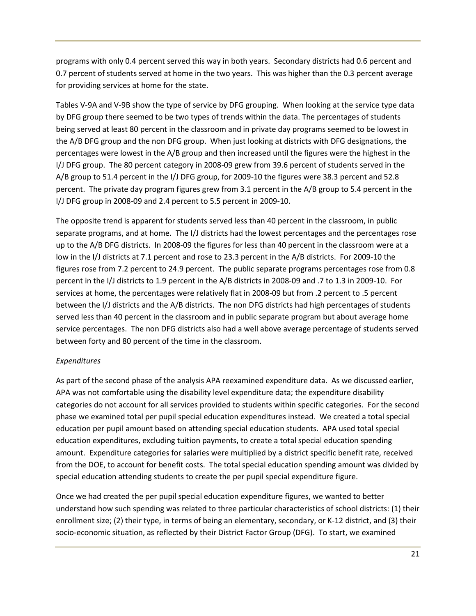programs with only 0.4 percent served this way in both years. Secondary districts had 0.6 percent and 0.7 percent of students served at home in the two years. This was higher than the 0.3 percent average for providing services at home for the state.

Tables V-9A and V-9B show the type of service by DFG grouping. When looking at the service type data by DFG group there seemed to be two types of trends within the data. The percentages of students being served at least 80 percent in the classroom and in private day programs seemed to be lowest in the A/B DFG group and the non DFG group. When just looking at districts with DFG designations, the percentages were lowest in the A/B group and then increased until the figures were the highest in the I/J DFG group. The 80 percent category in 2008-09 grew from 39.6 percent of students served in the A/B group to 51.4 percent in the I/J DFG group, for 2009-10 the figures were 38.3 percent and 52.8 percent. The private day program figures grew from 3.1 percent in the A/B group to 5.4 percent in the I/J DFG group in 2008-09 and 2.4 percent to 5.5 percent in 2009-10.

The opposite trend is apparent for students served less than 40 percent in the classroom, in public separate programs, and at home. The I/J districts had the lowest percentages and the percentages rose up to the A/B DFG districts. In 2008-09 the figures for less than 40 percent in the classroom were at a low in the I/J districts at 7.1 percent and rose to 23.3 percent in the A/B districts. For 2009-10 the figures rose from 7.2 percent to 24.9 percent. The public separate programs percentages rose from 0.8 percent in the I/J districts to 1.9 percent in the A/B districts in 2008-09 and .7 to 1.3 in 2009-10. For services at home, the percentages were relatively flat in 2008-09 but from .2 percent to .5 percent between the I/J districts and the A/B districts. The non DFG districts had high percentages of students served less than 40 percent in the classroom and in public separate program but about average home service percentages. The non DFG districts also had a well above average percentage of students served between forty and 80 percent of the time in the classroom.

#### *Expenditures*

As part of the second phase of the analysis APA reexamined expenditure data. As we discussed earlier, APA was not comfortable using the disability level expenditure data; the expenditure disability categories do not account for all services provided to students within specific categories. For the second phase we examined total per pupil special education expenditures instead. We created a total special education per pupil amount based on attending special education students. APA used total special education expenditures, excluding tuition payments, to create a total special education spending amount. Expenditure categories for salaries were multiplied by a district specific benefit rate, received from the DOE, to account for benefit costs. The total special education spending amount was divided by special education attending students to create the per pupil special expenditure figure.

Once we had created the per pupil special education expenditure figures, we wanted to better understand how such spending was related to three particular characteristics of school districts: (1) their enrollment size; (2) their type, in terms of being an elementary, secondary, or K-12 district, and (3) their socio-economic situation, as reflected by their District Factor Group (DFG). To start, we examined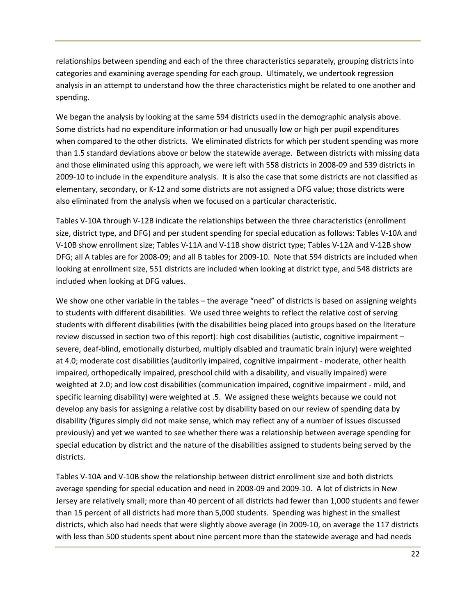relationships between spending and each of the three characteristics separately, grouping districts into categories and examining average spending for each group. Ultimately, we undertook regression analysis in an attempt to understand how the three characteristics might be related to one another and spending.

We began the analysis by looking at the same 594 districts used in the demographic analysis above. Some districts had no expenditure information or had unusually low or high per pupil expenditures when compared to the other districts. We eliminated districts for which per student spending was more than 1.5 standard deviations above or below the statewide average. Between districts with missing data and those eliminated using this approach, we were left with 558 districts in 2008-09 and 539 districts in 2009-10 to include in the expenditure analysis. It is also the case that some districts are not classified as elementary, secondary, or K-12 and some districts are not assigned a DFG value; those districts were also eliminated from the analysis when we focused on a particular characteristic.

Tables V-10A through V-12B indicate the relationships between the three characteristics (enrollment size, district type, and DFG) and per student spending for special education as follows: Tables V-10A and V-10B show enrollment size; Tables V-11A and V-11B show district type; Tables V-12A and V-12B show DFG; all A tables are for 2008-09; and all B tables for 2009-10. Note that 594 districts are included when looking at enrollment size, 551 districts are included when looking at district type, and 548 districts are included when looking at DFG values.

We show one other variable in the tables – the average "need" of districts is based on assigning weights to students with different disabilities. We used three weights to reflect the relative cost of serving students with different disabilities (with the disabilities being placed into groups based on the literature review discussed in section two of this report): high cost disabilities (autistic, cognitive impairment – severe, deaf-blind, emotionally disturbed, multiply disabled and traumatic brain injury) were weighted at 4.0; moderate cost disabilities (auditorily impaired, cognitive impairment - moderate, other health impaired, orthopedically impaired, preschool child with a disability, and visually impaired) were weighted at 2.0; and low cost disabilities (communication impaired, cognitive impairment - mild, and specific learning disability) were weighted at .5. We assigned these weights because we could not develop any basis for assigning a relative cost by disability based on our review of spending data by disability (figures simply did not make sense, which may reflect any of a number of issues discussed previously) and yet we wanted to see whether there was a relationship between average spending for special education by district and the nature of the disabilities assigned to students being served by the districts.

Tables V-10A and V-10B show the relationship between district enrollment size and both districts average spending for special education and need in 2008-09 and 2009-10. A lot of districts in New Jersey are relatively small; more than 40 percent of all districts had fewer than 1,000 students and fewer than 15 percent of all districts had more than 5,000 students. Spending was highest in the smallest districts, which also had needs that were slightly above average (in 2009-10, on average the 117 districts with less than 500 students spent about nine percent more than the statewide average and had needs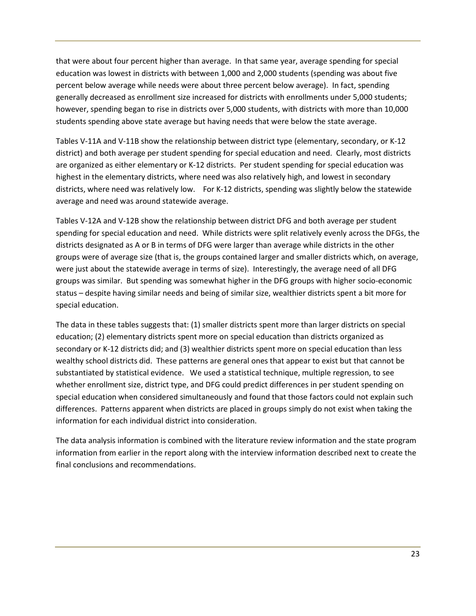that were about four percent higher than average. In that same year, average spending for special education was lowest in districts with between 1,000 and 2,000 students (spending was about five percent below average while needs were about three percent below average). In fact, spending generally decreased as enrollment size increased for districts with enrollments under 5,000 students; however, spending began to rise in districts over 5,000 students, with districts with more than 10,000 students spending above state average but having needs that were below the state average.

Tables V-11A and V-11B show the relationship between district type (elementary, secondary, or K-12 district) and both average per student spending for special education and need. Clearly, most districts are organized as either elementary or K-12 districts. Per student spending for special education was highest in the elementary districts, where need was also relatively high, and lowest in secondary districts, where need was relatively low. For K-12 districts, spending was slightly below the statewide average and need was around statewide average.

Tables V-12A and V-12B show the relationship between district DFG and both average per student spending for special education and need. While districts were split relatively evenly across the DFGs, the districts designated as A or B in terms of DFG were larger than average while districts in the other groups were of average size (that is, the groups contained larger and smaller districts which, on average, were just about the statewide average in terms of size). Interestingly, the average need of all DFG groups was similar. But spending was somewhat higher in the DFG groups with higher socio-economic status – despite having similar needs and being of similar size, wealthier districts spent a bit more for special education.

The data in these tables suggests that: (1) smaller districts spent more than larger districts on special education; (2) elementary districts spent more on special education than districts organized as secondary or K-12 districts did; and (3) wealthier districts spent more on special education than less wealthy school districts did. These patterns are general ones that appear to exist but that cannot be substantiated by statistical evidence. We used a statistical technique, multiple regression, to see whether enrollment size, district type, and DFG could predict differences in per student spending on special education when considered simultaneously and found that those factors could not explain such differences. Patterns apparent when districts are placed in groups simply do not exist when taking the information for each individual district into consideration.

The data analysis information is combined with the literature review information and the state program information from earlier in the report along with the interview information described next to create the final conclusions and recommendations.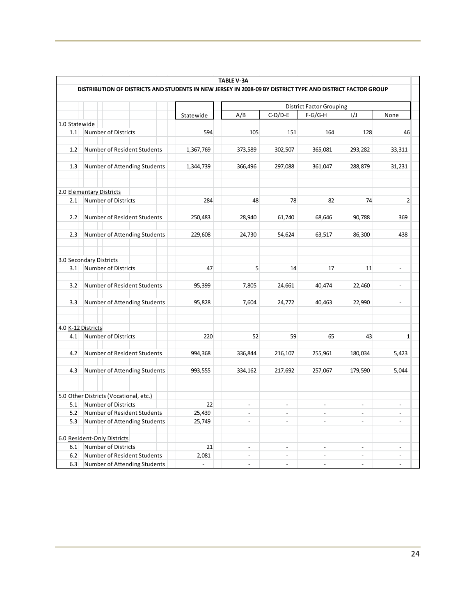|               |                                                                                                            |                | <b>TABLE V-3A</b>        |                |                                              |                          |                          |
|---------------|------------------------------------------------------------------------------------------------------------|----------------|--------------------------|----------------|----------------------------------------------|--------------------------|--------------------------|
|               | DISTRIBUTION OF DISTRICTS AND STUDENTS IN NEW JERSEY IN 2008-09 BY DISTRICT TYPE AND DISTRICT FACTOR GROUP |                |                          |                |                                              |                          |                          |
|               |                                                                                                            |                |                          |                |                                              |                          |                          |
|               |                                                                                                            | Statewide      | A/B                      | $C-D/D-E$      | <b>District Factor Grouping</b><br>$F-G/G-H$ | 1/J                      | None                     |
| 1.0 Statewide |                                                                                                            |                |                          |                |                                              |                          |                          |
| 1.1           | Number of Districts                                                                                        | 594            | 105                      | 151            | 164                                          | 128                      | 46                       |
|               |                                                                                                            |                |                          |                |                                              |                          |                          |
| 1.2           | Number of Resident Students                                                                                | 1,367,769      | 373,589                  | 302,507        | 365,081                                      | 293,282                  | 33,311                   |
| 1.3           | Number of Attending Students                                                                               | 1,344,739      | 366,496                  | 297,088        | 361,047                                      | 288,879                  | 31,231                   |
|               | 2.0 Elementary Districts                                                                                   |                |                          |                |                                              |                          |                          |
| 2.1           | Number of Districts                                                                                        | 284            | 48                       | 78             | 82                                           | 74                       | $\overline{2}$           |
| 2.2           |                                                                                                            |                |                          |                |                                              |                          | 369                      |
|               | Number of Resident Students                                                                                | 250,483        | 28,940                   | 61,740         | 68,646                                       | 90,788                   |                          |
| 2.3           | Number of Attending Students                                                                               | 229,608        | 24,730                   | 54,624         | 63,517                                       | 86,300                   | 438                      |
|               | 3.0 Secondary Districts                                                                                    |                |                          |                |                                              |                          |                          |
| 3.1           | Number of Districts                                                                                        | 47             | 5                        | 14             | 17                                           | 11                       |                          |
| 3.2           | Number of Resident Students                                                                                | 95,399         | 7,805                    | 24,661         | 40,474                                       | 22,460                   | $\overline{a}$           |
| 3.3           | Number of Attending Students                                                                               | 95,828         | 7,604                    | 24,772         | 40,463                                       | 22,990                   | $\blacksquare$           |
|               | 4.0 K-12 Districts                                                                                         |                |                          |                |                                              |                          |                          |
| 4.1           | Number of Districts                                                                                        | 220            | 52                       | 59             | 65                                           | 43                       | $\mathbf{1}$             |
|               |                                                                                                            |                |                          |                |                                              |                          |                          |
| 4.2           | Number of Resident Students                                                                                | 994,368        | 336,844                  | 216,107        | 255,961                                      | 180,034                  | 5,423                    |
|               |                                                                                                            |                |                          |                |                                              |                          |                          |
| 4.3           | Number of Attending Students                                                                               | 993,555        | 334,162                  | 217,692        | 257,067                                      | 179,590                  | 5,044                    |
|               |                                                                                                            |                |                          |                |                                              |                          |                          |
|               | 5.0 Other Districts (Vocational, etc.)                                                                     |                |                          |                |                                              |                          |                          |
| 5.1           | <b>Number of Districts</b>                                                                                 | 22             | $\overline{a}$           | $\overline{a}$ | $\overline{a}$                               | $\equiv$                 | $\overline{a}$           |
| 5.2           | Number of Resident Students                                                                                | 25,439         | $\overline{a}$           | $\overline{a}$ | $\overline{a}$                               | $\overline{\phantom{a}}$ | $\overline{a}$           |
| 5.3           | Number of Attending Students                                                                               | 25,749         | $\overline{\phantom{a}}$ | ÷,             | $\blacksquare$                               | $\overline{\phantom{a}}$ | $\overline{\phantom{a}}$ |
|               |                                                                                                            |                |                          |                |                                              |                          |                          |
|               | 6.0 Resident-Only Districts                                                                                |                |                          |                |                                              |                          |                          |
| 6.1           | Number of Districts                                                                                        | 21             | $\overline{a}$           |                |                                              | $\overline{a}$           |                          |
| 6.2           | Number of Resident Students                                                                                | 2,081          | $\overline{\phantom{a}}$ | $\frac{1}{2}$  | $\blacksquare$                               | $\overline{\phantom{a}}$ | $\overline{\phantom{a}}$ |
| 6.3           | Number of Attending Students                                                                               | $\overline{a}$ | $\overline{a}$           | $\overline{a}$ | $\overline{a}$                               | $\overline{a}$           | $\overline{a}$           |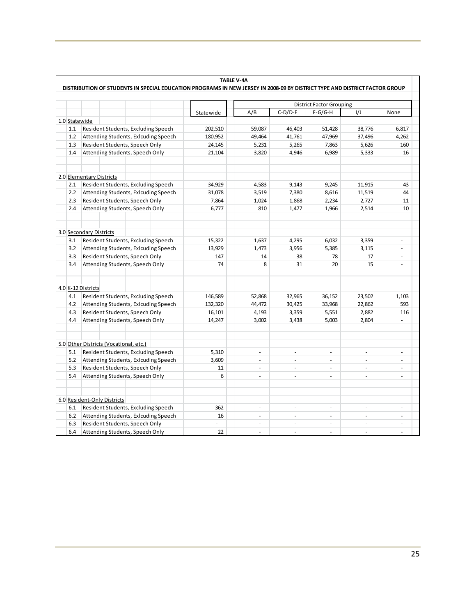| DISTRIBUTION OF STUDENTS IN SPECIAL EDUCATION PROGRAMS IN NEW JERSEY IN 2008-09 BY DISTRICT TYPE AND DISTRICT FACTOR GROUP |                                                                                           |
|----------------------------------------------------------------------------------------------------------------------------|-------------------------------------------------------------------------------------------|
|                                                                                                                            |                                                                                           |
|                                                                                                                            |                                                                                           |
| 1/J                                                                                                                        | None                                                                                      |
|                                                                                                                            |                                                                                           |
| 38,776                                                                                                                     | 6,817                                                                                     |
| 37,496                                                                                                                     | 4,262                                                                                     |
| 5,626                                                                                                                      | 160                                                                                       |
| 5,333                                                                                                                      | 16                                                                                        |
|                                                                                                                            |                                                                                           |
| 11,915                                                                                                                     | 43                                                                                        |
| 11,519                                                                                                                     | 44                                                                                        |
| 2,727                                                                                                                      | 11                                                                                        |
| 2,514                                                                                                                      | 10                                                                                        |
|                                                                                                                            |                                                                                           |
|                                                                                                                            |                                                                                           |
|                                                                                                                            |                                                                                           |
| 3,359                                                                                                                      | ÷.                                                                                        |
|                                                                                                                            | ä,                                                                                        |
|                                                                                                                            |                                                                                           |
|                                                                                                                            | ä,                                                                                        |
|                                                                                                                            |                                                                                           |
|                                                                                                                            |                                                                                           |
|                                                                                                                            |                                                                                           |
|                                                                                                                            | 1,103                                                                                     |
|                                                                                                                            | 593                                                                                       |
|                                                                                                                            | 116                                                                                       |
|                                                                                                                            | ÷,                                                                                        |
|                                                                                                                            |                                                                                           |
|                                                                                                                            |                                                                                           |
|                                                                                                                            |                                                                                           |
|                                                                                                                            | ä,                                                                                        |
|                                                                                                                            | $\blacksquare$                                                                            |
|                                                                                                                            | ÷,                                                                                        |
|                                                                                                                            | $\overline{a}$                                                                            |
|                                                                                                                            |                                                                                           |
|                                                                                                                            |                                                                                           |
|                                                                                                                            |                                                                                           |
|                                                                                                                            | ÷,                                                                                        |
|                                                                                                                            |                                                                                           |
|                                                                                                                            |                                                                                           |
| $\bar{\phantom{a}}$<br>÷.                                                                                                  | ÷,<br>L.                                                                                  |
|                                                                                                                            | 3,115<br>17<br>15<br>23,502<br>22,862<br>2,882<br>2,804<br>÷.<br>ä,<br>÷.<br>÷.<br>$\sim$ |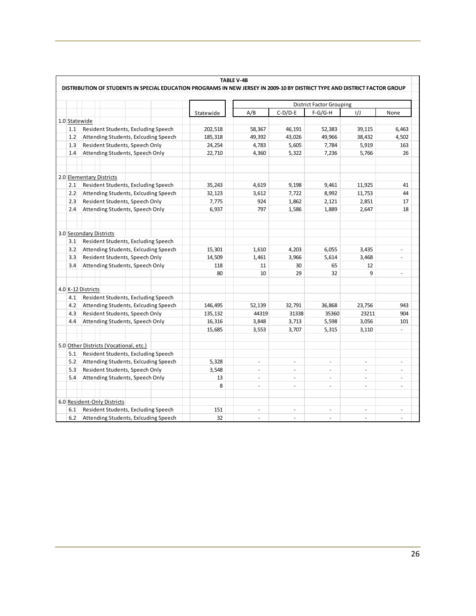|               |                                                                                                                            | <b>TABLE V-4B</b> |          |                |                                 |                |                |
|---------------|----------------------------------------------------------------------------------------------------------------------------|-------------------|----------|----------------|---------------------------------|----------------|----------------|
|               | DISTRIBUTION OF STUDENTS IN SPECIAL EDUCATION PROGRAMS IN NEW JERSEY IN 2009-10 BY DISTRICT TYPE AND DISTRICT FACTOR GROUP |                   |          |                |                                 |                |                |
|               |                                                                                                                            |                   |          |                | <b>District Factor Grouping</b> |                |                |
|               |                                                                                                                            | Statewide         | A/B      | $C-D/D-E$      | $F-G/G-H$                       | 1/J            | None           |
| 1.0 Statewide |                                                                                                                            |                   |          |                |                                 |                |                |
| 1.1           | Resident Students, Excluding Speech                                                                                        | 202,518           | 58,367   | 46,191         | 52,383                          | 39,115         | 6,463          |
| 1.2           | Attending Students, Exlcuding Speech                                                                                       | 185,318           | 49,392   | 43,026         | 49,966                          | 38,432         | 4,502          |
| 1.3           | Resident Students, Speech Only                                                                                             | 24,254            | 4,783    | 5,605          | 7,784                           | 5,919          | 163            |
| 1.4           | Attending Students, Speech Only                                                                                            | 22,710            | 4,360    | 5,322          | 7,236                           | 5,766          | 26             |
|               |                                                                                                                            |                   |          |                |                                 |                |                |
|               | 2.0 Elementary Districts                                                                                                   |                   |          |                |                                 |                |                |
| 2.1           | Resident Students, Excluding Speech                                                                                        | 35,243            | 4,619    | 9,198          | 9,461                           | 11,925         | 41             |
| 2.2           | Attending Students, Exlcuding Speech                                                                                       | 32,123            | 3,612    | 7,722          | 8,992                           | 11,753         | 44             |
| 2.3           | Resident Students, Speech Only                                                                                             | 7,775             | 924      | 1,862          | 2,121                           | 2,851          | 17             |
| 2.4           | Attending Students, Speech Only                                                                                            | 6,937             | 797      | 1,586          | 1,889                           | 2,647          | 18             |
|               |                                                                                                                            |                   |          |                |                                 |                |                |
|               | 3.0 Secondary Districts                                                                                                    |                   |          |                |                                 |                |                |
| 3.1           | Resident Students, Excluding Speech                                                                                        |                   |          |                |                                 |                |                |
| 3.2           | Attending Students, Exlcuding Speech                                                                                       | 15,301            | 1,610    | 4,203          | 6,055                           | 3,435          | ÷.             |
| 3.3           | Resident Students, Speech Only                                                                                             | 14,509            | 1,461    | 3,966          | 5,614                           | 3,468          | ÷,             |
| 3.4           | Attending Students, Speech Only                                                                                            | 118               | 11       | 30             | 65                              | 12             |                |
|               |                                                                                                                            | 80                | 10       | 29             | 32                              | 9              | $\blacksquare$ |
|               | 4.0 K-12 Districts                                                                                                         |                   |          |                |                                 |                |                |
| 4.1           | Resident Students, Excluding Speech                                                                                        |                   |          |                |                                 |                |                |
| 4.2           | Attending Students, Exlcuding Speech                                                                                       | 146,495           | 52,139   | 32,791         | 36,868                          | 23,756         | 943            |
| 4.3           | Resident Students, Speech Only                                                                                             | 135,132           | 44319    | 31338          | 35360                           | 23211          | 904            |
| 4.4           | Attending Students, Speech Only                                                                                            | 16,316            | 3,848    | 3,713          | 5,598                           | 3,056          | 101            |
|               |                                                                                                                            | 15,685            | 3,553    | 3,707          | 5,315                           | 3,110          |                |
|               | 5.0 Other Districts (Vocational, etc.)                                                                                     |                   |          |                |                                 |                |                |
| 5.1           | Resident Students, Excluding Speech                                                                                        |                   |          |                |                                 |                |                |
| 5.2           | Attending Students, Exlcuding Speech                                                                                       | 5,328             | ÷.       | $\blacksquare$ |                                 |                |                |
| 5.3           | Resident Students, Speech Only                                                                                             | 3,548             | ÷.       | L.             | $\sim$                          |                | ä,             |
| 5.4           | Attending Students, Speech Only                                                                                            | 13                | ÷.       | $\blacksquare$ | ä,                              | ÷.             | ÷,             |
|               |                                                                                                                            | 8                 | $\omega$ | ä,             | $\sim$                          | $\omega$       | L.             |
|               | 6.0 Resident-Only Districts                                                                                                |                   |          |                |                                 |                |                |
| 6.1           | Resident Students, Excluding Speech                                                                                        | 151               | $\omega$ | ÷,             | $\bar{a}$                       | $\blacksquare$ | ÷,             |
| 6.2           | Attending Students, Exlcuding Speech                                                                                       | 32                |          |                |                                 |                |                |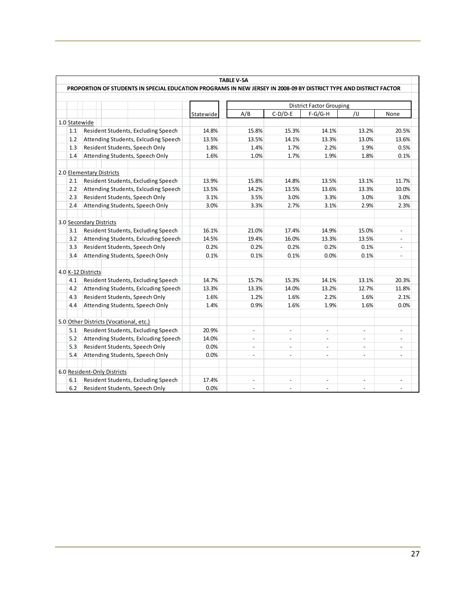|               |                                                                                                                    |           | <b>TABLE V-5A</b> |                |                                 |                          |                |
|---------------|--------------------------------------------------------------------------------------------------------------------|-----------|-------------------|----------------|---------------------------------|--------------------------|----------------|
|               | PROPORTION OF STUDENTS IN SPECIAL EDUCATION PROGRAMS IN NEW JERSEY IN 2008-09 BY DISTRICT TYPE AND DISTRICT FACTOR |           |                   |                |                                 |                          |                |
|               |                                                                                                                    |           |                   |                | <b>District Factor Grouping</b> |                          |                |
|               |                                                                                                                    | Statewide | A/B               | $C-D/D-E$      | $F-G/G-H$                       | /IJ                      | None           |
| 1.0 Statewide |                                                                                                                    |           |                   |                |                                 |                          |                |
| 1.1           | Resident Students, Excluding Speech                                                                                | 14.8%     | 15.8%             | 15.3%          | 14.1%                           | 13.2%                    | 20.5%          |
| 1.2           | Attending Students, Exlcuding Speech                                                                               | 13.5%     | 13.5%             | 14.1%          | 13.3%                           | 13.0%                    | 13.6%          |
| 1.3           | Resident Students, Speech Only                                                                                     | 1.8%      | 1.4%              | 1.7%           | 2.2%                            | 1.9%                     | 0.5%           |
| 1.4           | Attending Students, Speech Only                                                                                    | 1.6%      | 1.0%              | 1.7%           | 1.9%                            | 1.8%                     | 0.1%           |
|               | 2.0 Elementary Districts                                                                                           |           |                   |                |                                 |                          |                |
| 2.1           | Resident Students, Excluding Speech                                                                                | 13.9%     | 15.8%             | 14.8%          | 13.5%                           | 13.1%                    | 11.7%          |
| 2.2           | Attending Students, Exlcuding Speech                                                                               | 13.5%     | 14.2%             | 13.5%          | 13.6%                           | 13.3%                    | 10.0%          |
| 2.3           | Resident Students, Speech Only                                                                                     | 3.1%      | 3.5%              | 3.0%           | 3.3%                            | 3.0%                     | 3.0%           |
| 2.4           | Attending Students, Speech Only                                                                                    | 3.0%      | 3.3%              | 2.7%           | 3.1%                            | 2.9%                     | 2.3%           |
|               | 3.0 Secondary Districts                                                                                            |           |                   |                |                                 |                          |                |
| 3.1           | Resident Students, Excluding Speech                                                                                | 16.1%     | 21.0%             | 17.4%          | 14.9%                           | 15.0%                    | $\equiv$       |
| 3.2           | Attending Students, Exicuding Speech                                                                               | 14.5%     | 19.4%             | 16.0%          | 13.3%                           | 13.5%                    | $\blacksquare$ |
| 3.3           | Resident Students, Speech Only                                                                                     | 0.2%      | 0.2%              | 0.2%           | 0.2%                            | 0.1%                     | $\blacksquare$ |
| 3.4           | Attending Students, Speech Only                                                                                    | 0.1%      | 0.1%              | 0.1%           | 0.0%                            | 0.1%                     | $\blacksquare$ |
|               | 4.0 K-12 Districts                                                                                                 |           |                   |                |                                 |                          |                |
| 4.1           | Resident Students, Excluding Speech                                                                                | 14.7%     | 15.7%             | 15.3%          | 14.1%                           | 13.1%                    | 20.3%          |
| 4.2           | Attending Students, Exlcuding Speech                                                                               | 13.3%     | 13.3%             | 14.0%          | 13.2%                           | 12.7%                    | 11.8%          |
| 4.3           | Resident Students, Speech Only                                                                                     | 1.6%      | 1.2%              | 1.6%           | 2.2%                            | 1.6%                     | 2.1%           |
| 4.4           | Attending Students, Speech Only                                                                                    | 1.4%      | 0.9%              | 1.6%           | 1.9%                            | 1.6%                     | 0.0%           |
|               | 5.0 Other Districts (Vocational, etc.)                                                                             |           |                   |                |                                 |                          |                |
| 5.1           | Resident Students, Excluding Speech                                                                                | 20.9%     | $\blacksquare$    | $\omega$       | $\blacksquare$                  | $\sim$                   | $\blacksquare$ |
| 5.2           | Attending Students, Exicuding Speech                                                                               | 14.0%     | ÷                 | $\blacksquare$ |                                 | $\overline{\phantom{a}}$ | $\blacksquare$ |
| 5.3           | Resident Students, Speech Only                                                                                     | 0.0%      | ÷.                | $\blacksquare$ | $\overline{a}$                  | $\overline{a}$           | $\blacksquare$ |
| 5.4           | Attending Students, Speech Only                                                                                    | 0.0%      | $\blacksquare$    | ä,             | $\blacksquare$                  | $\sim$                   | $\overline{a}$ |
|               | 6.0 Resident-Only Districts                                                                                        |           |                   |                |                                 |                          |                |
| 6.1           | Resident Students, Excluding Speech                                                                                | 17.4%     |                   |                |                                 |                          |                |
| 6.2           | Resident Students, Speech Only                                                                                     | 0.0%      |                   |                |                                 |                          |                |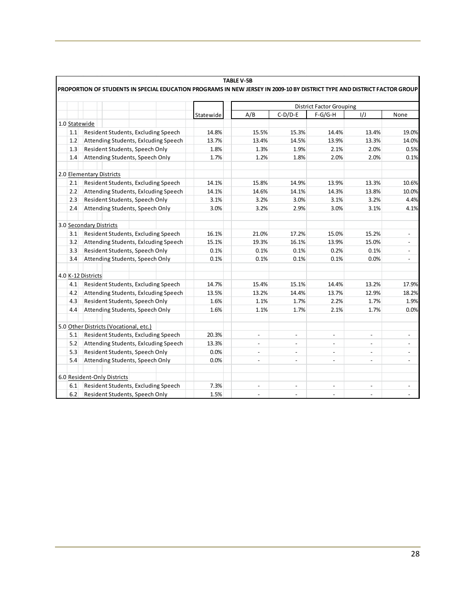|     |                                                                                                                          |           | <b>TABLE V-5B</b>        |                          |                                 |                          |                |
|-----|--------------------------------------------------------------------------------------------------------------------------|-----------|--------------------------|--------------------------|---------------------------------|--------------------------|----------------|
|     | PROPORTION OF STUDENTS IN SPECIAL EDUCATION PROGRAMS IN NEW JERSEY IN 2009-10 BY DISTRICT TYPE AND DISTRICT FACTOR GROUP |           |                          |                          |                                 |                          |                |
|     |                                                                                                                          |           |                          |                          | <b>District Factor Grouping</b> |                          |                |
|     |                                                                                                                          | Statewide | A/B                      | $C-D/D-E$                | $F-G/G-H$                       | 1/J                      | None           |
|     | 1.0 Statewide                                                                                                            |           |                          |                          |                                 |                          |                |
| 1.1 | Resident Students, Excluding Speech                                                                                      | 14.8%     | 15.5%                    | 15.3%                    | 14.4%                           | 13.4%                    | 19.0%          |
| 1.2 | Attending Students, Exlcuding Speech                                                                                     | 13.7%     | 13.4%                    | 14.5%                    | 13.9%                           | 13.3%                    | 14.0%          |
| 1.3 | Resident Students, Speech Only                                                                                           | 1.8%      | 1.3%                     | 1.9%                     | 2.1%                            | 2.0%                     | 0.5%           |
| 1.4 | Attending Students, Speech Only                                                                                          | 1.7%      | 1.2%                     | 1.8%                     | 2.0%                            | 2.0%                     | 0.1%           |
|     | 2.0 Elementary Districts                                                                                                 |           |                          |                          |                                 |                          |                |
| 2.1 | Resident Students, Excluding Speech                                                                                      | 14.1%     | 15.8%                    | 14.9%                    | 13.9%                           | 13.3%                    | 10.6%          |
| 2.2 | Attending Students, Exicuding Speech                                                                                     | 14.1%     | 14.6%                    | 14.1%                    | 14.3%                           | 13.8%                    | 10.0%          |
| 2.3 | Resident Students, Speech Only                                                                                           | 3.1%      | 3.2%                     | 3.0%                     | 3.1%                            | 3.2%                     | 4.4%           |
| 2.4 | Attending Students, Speech Only                                                                                          | 3.0%      | 3.2%                     | 2.9%                     | 3.0%                            | 3.1%                     | 4.1%           |
|     |                                                                                                                          |           |                          |                          |                                 |                          |                |
|     | 3.0 Secondary Districts                                                                                                  |           |                          |                          |                                 |                          |                |
| 3.1 | Resident Students, Excluding Speech                                                                                      | 16.1%     | 21.0%                    | 17.2%                    | 15.0%                           | 15.2%                    | $\blacksquare$ |
| 3.2 | Attending Students, Exlcuding Speech                                                                                     | 15.1%     | 19.3%                    | 16.1%                    | 13.9%                           | 15.0%                    | $\blacksquare$ |
| 3.3 | Resident Students, Speech Only                                                                                           | 0.1%      | 0.1%                     | 0.1%                     | 0.2%                            | 0.1%                     | $\blacksquare$ |
| 3.4 | Attending Students, Speech Only                                                                                          | 0.1%      | 0.1%                     | 0.1%                     | 0.1%                            | 0.0%                     | $\blacksquare$ |
|     | 4.0 K-12 Districts                                                                                                       |           |                          |                          |                                 |                          |                |
| 4.1 | Resident Students, Excluding Speech                                                                                      | 14.7%     | 15.4%                    | 15.1%                    | 14.4%                           | 13.2%                    | 17.9%          |
| 4.2 | Attending Students, Exlcuding Speech                                                                                     | 13.5%     | 13.2%                    | 14.4%                    | 13.7%                           | 12.9%                    | 18.2%          |
| 4.3 | Resident Students, Speech Only                                                                                           | 1.6%      | 1.1%                     | 1.7%                     | 2.2%                            | 1.7%                     | 1.9%           |
| 4.4 | Attending Students, Speech Only                                                                                          | 1.6%      | 1.1%                     | 1.7%                     | 2.1%                            | 1.7%                     | 0.0%           |
|     |                                                                                                                          |           |                          |                          |                                 |                          |                |
|     | 5.0 Other Districts (Vocational, etc.)                                                                                   |           |                          |                          |                                 |                          |                |
| 5.1 | Resident Students, Excluding Speech                                                                                      | 20.3%     | $\overline{\phantom{a}}$ | ÷.                       | $\overline{\phantom{a}}$        | $\overline{a}$           | $\overline{a}$ |
| 5.2 | Attending Students, Exlcuding Speech                                                                                     | 13.3%     |                          | $\overline{a}$           | $\overline{\phantom{a}}$        | $\overline{a}$           |                |
| 5.3 | Resident Students, Speech Only                                                                                           | 0.0%      | $\overline{a}$           | $\overline{a}$           | $\overline{\phantom{a}}$        | $\overline{a}$           |                |
| 5.4 | Attending Students, Speech Only                                                                                          | 0.0%      | $\overline{\phantom{a}}$ | $\overline{\phantom{a}}$ | $\overline{\phantom{a}}$        | $\overline{\phantom{0}}$ |                |
|     | 6.0 Resident-Only Districts                                                                                              |           |                          |                          |                                 |                          |                |
| 6.1 | Resident Students, Excluding Speech                                                                                      | 7.3%      | $\frac{1}{2}$            |                          | $\overline{\phantom{a}}$        |                          |                |
| 6.2 | Resident Students, Speech Only                                                                                           | 1.5%      |                          |                          |                                 |                          |                |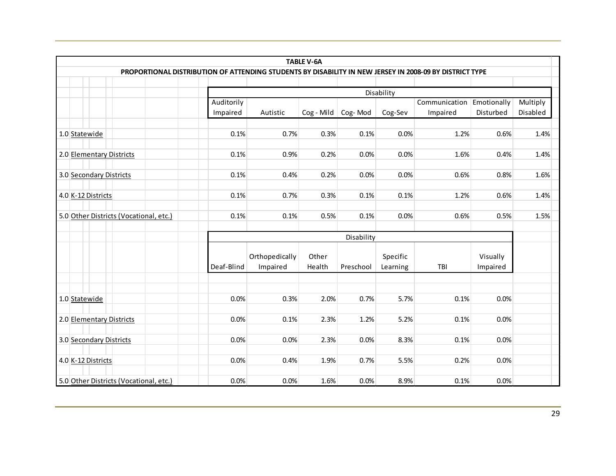|                                                                                                         |            |                                         | <b>TABLE V-6A</b>        |            |                      |          |                      |                      |  |  |  |  |
|---------------------------------------------------------------------------------------------------------|------------|-----------------------------------------|--------------------------|------------|----------------------|----------|----------------------|----------------------|--|--|--|--|
| PROPORTIONAL DISTRIBUTION OF ATTENDING STUDENTS BY DISABILITY IN NEW JERSEY IN 2008-09 BY DISTRICT TYPE |            |                                         |                          |            |                      |          |                      |                      |  |  |  |  |
|                                                                                                         |            | Disability                              |                          |            |                      |          |                      |                      |  |  |  |  |
|                                                                                                         |            | Auditorily<br>Communication Emotionally |                          |            |                      |          |                      |                      |  |  |  |  |
|                                                                                                         | Impaired   | Autistic                                | $Cog - Mild   Cog - Mod$ |            | Cog-Sev              | Impaired | Disturbed            | Multiply<br>Disabled |  |  |  |  |
|                                                                                                         |            |                                         |                          |            |                      |          |                      |                      |  |  |  |  |
| 1.0 Statewide                                                                                           | 0.1%       | 0.7%                                    | 0.3%                     | 0.1%       | 0.0%                 | 1.2%     | 0.6%                 | 1.4%                 |  |  |  |  |
| 2.0 Elementary Districts                                                                                | 0.1%       | 0.9%                                    | 0.2%                     | 0.0%       | 0.0%                 | 1.6%     | 0.4%                 | 1.4%                 |  |  |  |  |
| 3.0 Secondary Districts                                                                                 | 0.1%       | 0.4%                                    | 0.2%                     | 0.0%       | 0.0%                 | 0.6%     | 0.8%                 | 1.6%                 |  |  |  |  |
| 4.0 K-12 Districts                                                                                      | 0.1%       | 0.7%                                    | 0.3%                     | 0.1%       | 0.1%                 | 1.2%     | 0.6%                 | 1.4%                 |  |  |  |  |
| 5.0 Other Districts (Vocational, etc.)                                                                  | 0.1%       | 0.1%                                    | 0.5%                     | 0.1%       | 0.0%                 | 0.6%     | 0.5%                 | 1.5%                 |  |  |  |  |
|                                                                                                         |            |                                         |                          | Disability |                      |          |                      |                      |  |  |  |  |
|                                                                                                         | Deaf-Blind | Orthopedically<br>Impaired              | Other<br>Health          | Preschool  | Specific<br>Learning | TBI      | Visually<br>Impaired |                      |  |  |  |  |
|                                                                                                         |            |                                         |                          |            |                      |          |                      |                      |  |  |  |  |
| 1.0 Statewide                                                                                           | 0.0%       | 0.3%                                    | 2.0%                     | 0.7%       | 5.7%                 | 0.1%     | 0.0%                 |                      |  |  |  |  |
| 2.0 Elementary Districts                                                                                | 0.0%       | 0.1%                                    | 2.3%                     | 1.2%       | 5.2%                 | 0.1%     | 0.0%                 |                      |  |  |  |  |
| 3.0 Secondary Districts                                                                                 | 0.0%       | 0.0%                                    | 2.3%                     | 0.0%       | 8.3%                 | 0.1%     | 0.0%                 |                      |  |  |  |  |
| 4.0 K-12 Districts                                                                                      | 0.0%       | 0.4%                                    | 1.9%                     | 0.7%       | 5.5%                 | 0.2%     | 0.0%                 |                      |  |  |  |  |
| 5.0 Other Districts (Vocational, etc.)                                                                  | 0.0%       | 0.0%                                    | 1.6%                     | 0.0%       | 8.9%                 | 0.1%     | 0.0%                 |                      |  |  |  |  |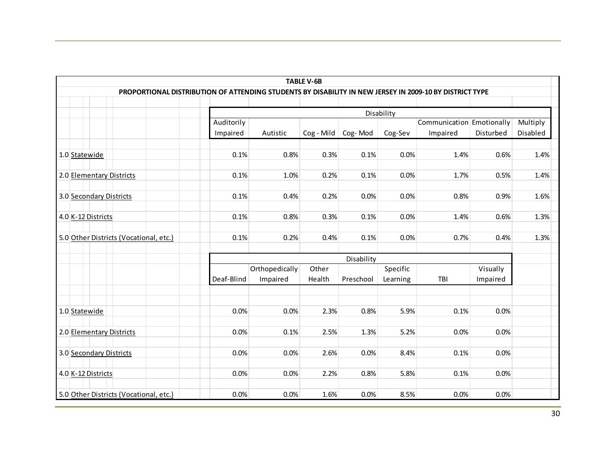|                                                                                                         |            |                                                       | <b>TABLE V-6B</b>        |            |          |          |           |                      |  |  |  |
|---------------------------------------------------------------------------------------------------------|------------|-------------------------------------------------------|--------------------------|------------|----------|----------|-----------|----------------------|--|--|--|
| PROPORTIONAL DISTRIBUTION OF ATTENDING STUDENTS BY DISABILITY IN NEW JERSEY IN 2009-10 BY DISTRICT TYPE |            |                                                       |                          |            |          |          |           |                      |  |  |  |
|                                                                                                         |            |                                                       |                          |            |          |          |           |                      |  |  |  |
|                                                                                                         |            | Disability<br>Auditorily<br>Communication Emotionally |                          |            |          |          |           |                      |  |  |  |
|                                                                                                         | Impaired   | Autistic                                              | $Cog - Mild$ $Cog - Mod$ |            | Cog-Sev  | Impaired | Disturbed | Multiply<br>Disabled |  |  |  |
|                                                                                                         |            |                                                       |                          |            |          |          |           |                      |  |  |  |
| 1.0 Statewide                                                                                           | 0.1%       | 0.8%                                                  | 0.3%                     | 0.1%       | 0.0%     | 1.4%     | 0.6%      | 1.4%                 |  |  |  |
| 2.0 Elementary Districts                                                                                | 0.1%       | 1.0%                                                  | 0.2%                     | 0.1%       | 0.0%     | 1.7%     | 0.5%      | 1.4%                 |  |  |  |
| 3.0 Secondary Districts                                                                                 | 0.1%       | 0.4%                                                  | 0.2%                     | 0.0%       | 0.0%     | 0.8%     | 0.9%      | 1.6%                 |  |  |  |
| 4.0 K-12 Districts                                                                                      | 0.1%       | 0.8%                                                  | 0.3%                     | 0.1%       | 0.0%     | 1.4%     | 0.6%      | 1.3%                 |  |  |  |
| 5.0 Other Districts (Vocational, etc.)                                                                  | 0.1%       | 0.2%                                                  | 0.4%                     | 0.1%       | 0.0%     | 0.7%     | 0.4%      | 1.3%                 |  |  |  |
|                                                                                                         |            |                                                       |                          | Disability |          |          |           |                      |  |  |  |
|                                                                                                         |            | Orthopedically                                        | Other                    |            | Specific |          | Visually  |                      |  |  |  |
|                                                                                                         | Deaf-Blind | Impaired                                              | Health                   | Preschool  | Learning | TBI      | Impaired  |                      |  |  |  |
|                                                                                                         |            |                                                       |                          |            |          |          |           |                      |  |  |  |
|                                                                                                         |            |                                                       |                          |            |          |          |           |                      |  |  |  |
| 1.0 Statewide                                                                                           | 0.0%       | 0.0%                                                  | 2.3%                     | 0.8%       | 5.9%     | 0.1%     | 0.0%      |                      |  |  |  |
| 2.0 Elementary Districts                                                                                | 0.0%       | 0.1%                                                  | 2.5%                     | 1.3%       | 5.2%     | 0.0%     | 0.0%      |                      |  |  |  |
|                                                                                                         |            |                                                       |                          |            |          |          |           |                      |  |  |  |
| 3.0 Secondary Districts                                                                                 | 0.0%       | 0.0%                                                  | 2.6%                     | 0.0%       | 8.4%     | 0.1%     | 0.0%      |                      |  |  |  |
|                                                                                                         |            |                                                       |                          |            |          |          |           |                      |  |  |  |
| 4.0 K-12 Districts                                                                                      | 0.0%       | 0.0%                                                  | 2.2%                     | 0.8%       | 5.8%     | 0.1%     | 0.0%      |                      |  |  |  |
| 5.0 Other Districts (Vocational, etc.)                                                                  | 0.0%       | 0.0%                                                  | 1.6%                     | 0.0%       | 8.5%     | 0.0%     | 0.0%      |                      |  |  |  |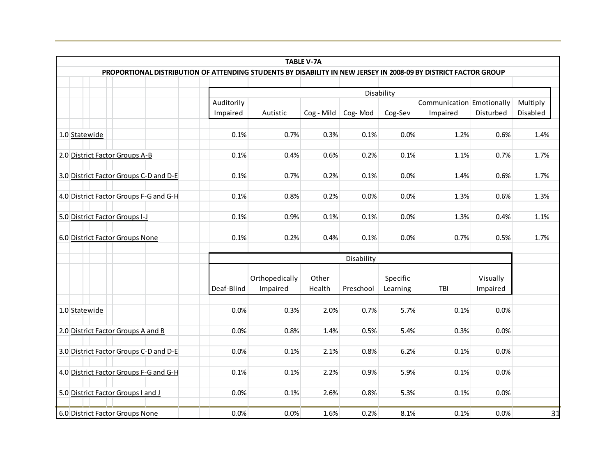|                                                                                                                 |                        |                            | <b>TABLE V-7A</b> |            |                       |                                       |                      |                      |
|-----------------------------------------------------------------------------------------------------------------|------------------------|----------------------------|-------------------|------------|-----------------------|---------------------------------------|----------------------|----------------------|
| PROPORTIONAL DISTRIBUTION OF ATTENDING STUDENTS BY DISABILITY IN NEW JERSEY IN 2008-09 BY DISTRICT FACTOR GROUP |                        |                            |                   |            |                       |                                       |                      |                      |
|                                                                                                                 |                        |                            |                   |            |                       |                                       |                      |                      |
|                                                                                                                 | Auditorily<br>Impaired | Autistic                   | $Cog - Mild$      | Cog-Mod    | Disability<br>Cog-Sev | Communication Emotionally<br>Impaired | Disturbed            | Multiply<br>Disabled |
| 1.0 Statewide                                                                                                   | 0.1%                   | 0.7%                       | 0.3%              | 0.1%       | 0.0%                  | 1.2%                                  | 0.6%                 | 1.4%                 |
| 2.0 District Factor Groups A-B                                                                                  | 0.1%                   | 0.4%                       | 0.6%              | 0.2%       | 0.1%                  | 1.1%                                  | 0.7%                 | 1.7%                 |
| 3.0 District Factor Groups C-D and D-E                                                                          | 0.1%                   | 0.7%                       | 0.2%              | 0.1%       | 0.0%                  | 1.4%                                  | 0.6%                 | 1.7%                 |
| 4.0 District Factor Groups F-G and G-H                                                                          | 0.1%                   | 0.8%                       | 0.2%              | 0.0%       | 0.0%                  | 1.3%                                  | 0.6%                 | 1.3%                 |
| 5.0 District Factor Groups I-J                                                                                  | 0.1%                   | 0.9%                       | 0.1%              | 0.1%       | 0.0%                  | 1.3%                                  | 0.4%                 | 1.1%                 |
| 6.0 District Factor Groups None                                                                                 | 0.1%                   | 0.2%                       | 0.4%              | 0.1%       | 0.0%                  | 0.7%                                  | 0.5%                 | 1.7%                 |
|                                                                                                                 |                        |                            |                   | Disability |                       |                                       |                      |                      |
|                                                                                                                 | Deaf-Blind             | Orthopedically<br>Impaired | Other<br>Health   | Preschool  | Specific<br>Learning  | TBI                                   | Visually<br>Impaired |                      |
| 1.0 Statewide                                                                                                   | 0.0%                   | 0.3%                       | 2.0%              | 0.7%       | 5.7%                  | 0.1%                                  | 0.0%                 |                      |
| 2.0 District Factor Groups A and B                                                                              | 0.0%                   | 0.8%                       | 1.4%              | 0.5%       | 5.4%                  | 0.3%                                  | 0.0%                 |                      |
| 3.0 District Factor Groups C-D and D-E                                                                          | 0.0%                   | 0.1%                       | 2.1%              | 0.8%       | 6.2%                  | 0.1%                                  | 0.0%                 |                      |
| 4.0 District Factor Groups F-G and G-H                                                                          | 0.1%                   | 0.1%                       | 2.2%              | 0.9%       | 5.9%                  | 0.1%                                  | 0.0%                 |                      |
| 5.0 District Factor Groups I and J                                                                              | 0.0%                   | 0.1%                       | 2.6%              | 0.8%       | 5.3%                  | 0.1%                                  | 0.0%                 |                      |
| 6.0 District Factor Groups None                                                                                 | 0.0%                   | 0.0%                       | 1.6%              | 0.2%       | 8.1%                  | 0.1%                                  | 0.0%                 | 31                   |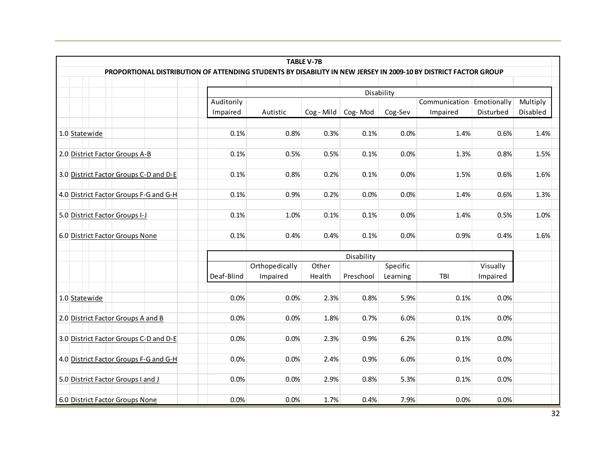|                                                                                                                 |            |                                                       | <b>TABLE V-7B</b> |            |          |          |           |                      |  |  |  |
|-----------------------------------------------------------------------------------------------------------------|------------|-------------------------------------------------------|-------------------|------------|----------|----------|-----------|----------------------|--|--|--|
| PROPORTIONAL DISTRIBUTION OF ATTENDING STUDENTS BY DISABILITY IN NEW JERSEY IN 2009-10 BY DISTRICT FACTOR GROUP |            |                                                       |                   |            |          |          |           |                      |  |  |  |
|                                                                                                                 |            |                                                       |                   |            |          |          |           |                      |  |  |  |
|                                                                                                                 |            | Disability<br>Communication Emotionally<br>Auditorily |                   |            |          |          |           |                      |  |  |  |
|                                                                                                                 | Impaired   | Autistic                                              | Cog - Mild        | Cog-Mod    | Cog-Sev  | Impaired | Disturbed | Multiply<br>Disabled |  |  |  |
| 1.0 Statewide                                                                                                   | 0.1%       | 0.8%                                                  | 0.3%              | 0.1%       | 0.0%     | 1.4%     | 0.6%      | 1.4%                 |  |  |  |
| 2.0 District Factor Groups A-B                                                                                  | 0.1%       | 0.5%                                                  | 0.5%              | 0.1%       | 0.0%     | 1.3%     | 0.8%      | 1.5%                 |  |  |  |
|                                                                                                                 |            |                                                       |                   |            |          |          |           |                      |  |  |  |
| 3.0 District Factor Groups C-D and D-E                                                                          | 0.1%       | 0.8%                                                  | 0.2%              | 0.1%       | 0.0%     | 1.5%     | 0.6%      | 1.6%                 |  |  |  |
| 4.0 District Factor Groups F-G and G-H                                                                          | 0.1%       | 0.9%                                                  | 0.2%              | 0.0%       | 0.0%     | 1.4%     | 0.6%      | 1.3%                 |  |  |  |
| 5.0 District Factor Groups I-J                                                                                  | 0.1%       | 1.0%                                                  | 0.1%              | 0.1%       | 0.0%     | 1.4%     | 0.5%      | 1.0%                 |  |  |  |
| 6.0 District Factor Groups None                                                                                 | 0.1%       | 0.4%                                                  | 0.4%              | 0.1%       | 0.0%     | 0.9%     | 0.4%      | 1.6%                 |  |  |  |
|                                                                                                                 |            |                                                       |                   |            |          |          |           |                      |  |  |  |
|                                                                                                                 |            |                                                       |                   | Disability |          |          |           |                      |  |  |  |
|                                                                                                                 |            | Orthopedically                                        | Other             |            | Specific |          | Visually  |                      |  |  |  |
|                                                                                                                 | Deaf-Blind | Impaired                                              | Health            | Preschool  | Learning | TBI      | Impaired  |                      |  |  |  |
| 1.0 Statewide                                                                                                   | 0.0%       | 0.0%                                                  | 2.3%              | 0.8%       | 5.9%     | 0.1%     | 0.0%      |                      |  |  |  |
| 2.0 District Factor Groups A and B                                                                              | 0.0%       | 0.0%                                                  | 1.8%              | 0.7%       | 6.0%     | 0.1%     | 0.0%      |                      |  |  |  |
| 3.0 District Factor Groups C-D and D-E                                                                          | 0.0%       | 0.0%                                                  | 2.3%              | 0.9%       | 6.2%     | 0.1%     | 0.0%      |                      |  |  |  |
|                                                                                                                 |            |                                                       |                   |            |          |          |           |                      |  |  |  |
| 4.0 District Factor Groups F-G and G-H                                                                          | 0.0%       | 0.0%                                                  | 2.4%              | 0.9%       | 6.0%     | 0.1%     | 0.0%      |                      |  |  |  |
| 5.0 District Factor Groups I and J                                                                              | 0.0%       | 0.0%                                                  | 2.9%              | 0.8%       | 5.3%     | 0.1%     | 0.0%      |                      |  |  |  |
| 6.0 District Factor Groups None                                                                                 | 0.0%       | 0.0%                                                  | 1.7%              | 0.4%       | 7.9%     | 0.0%     | 0.0%      |                      |  |  |  |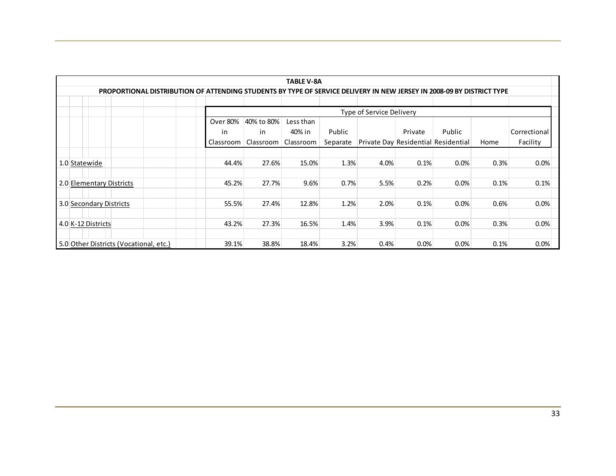| TABLE V-8A                                                                                                            |                          |           |           |          |      |         |                                     |      |              |
|-----------------------------------------------------------------------------------------------------------------------|--------------------------|-----------|-----------|----------|------|---------|-------------------------------------|------|--------------|
| PROPORTIONAL DISTRIBUTION OF ATTENDING STUDENTS BY TYPE OF SERVICE DELIVERY IN NEW JERSEY IN 2008-09 BY DISTRICT TYPE |                          |           |           |          |      |         |                                     |      |              |
|                                                                                                                       |                          |           |           |          |      |         |                                     |      |              |
|                                                                                                                       | Type of Service Delivery |           |           |          |      |         |                                     |      |              |
| Over 80%<br>40% to 80%<br>Less than                                                                                   |                          |           |           |          |      |         |                                     |      |              |
|                                                                                                                       | in.                      | in        | 40% in    | Public   |      | Private | Public                              |      | Correctional |
|                                                                                                                       | Classroom                | Classroom | Classroom | Separate |      |         | Private Day Residential Residential | Home | Facility     |
|                                                                                                                       |                          |           |           |          |      |         |                                     |      |              |
| 1.0 Statewide                                                                                                         | 44.4%                    | 27.6%     | 15.0%     | 1.3%     | 4.0% | 0.1%    | 0.0%                                | 0.3% | 0.0%         |
|                                                                                                                       |                          |           |           |          |      |         |                                     |      |              |
| 2.0 Elementary Districts                                                                                              | 45.2%                    | 27.7%     | 9.6%      | 0.7%     | 5.5% | 0.2%    | 0.0%                                | 0.1% | 0.1%         |
|                                                                                                                       |                          |           |           |          |      |         |                                     |      |              |
| 3.0 Secondary Districts                                                                                               | 55.5%                    | 27.4%     | 12.8%     | 1.2%     | 2.0% | 0.1%    | 0.0%                                | 0.6% | 0.0%         |
|                                                                                                                       |                          |           |           |          |      |         |                                     |      |              |
| 4.0 K-12 Districts                                                                                                    | 43.2%                    | 27.3%     | 16.5%     | 1.4%     | 3.9% | 0.1%    | 0.0%                                | 0.3% | 0.0%         |
|                                                                                                                       |                          |           |           |          |      |         |                                     |      |              |
| 5.0 Other Districts (Vocational, etc.)                                                                                | 39.1%                    | 38.8%     | 18.4%     | 3.2%     | 0.4% | 0.0%    | 0.0%                                | 0.1% | 0.0%         |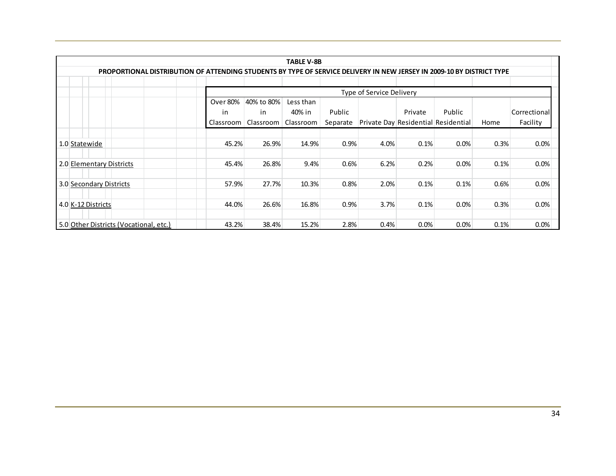|                                                                                                                       | <b>TABLE V-8B</b>                          |           |           |          |      |                                     |        |      |              |  |
|-----------------------------------------------------------------------------------------------------------------------|--------------------------------------------|-----------|-----------|----------|------|-------------------------------------|--------|------|--------------|--|
| PROPORTIONAL DISTRIBUTION OF ATTENDING STUDENTS BY TYPE OF SERVICE DELIVERY IN NEW JERSEY IN 2009-10 BY DISTRICT TYPE |                                            |           |           |          |      |                                     |        |      |              |  |
|                                                                                                                       |                                            |           |           |          |      |                                     |        |      |              |  |
|                                                                                                                       | Type of Service Delivery                   |           |           |          |      |                                     |        |      |              |  |
|                                                                                                                       | <b>Over 80%</b><br>40% to 80%<br>Less than |           |           |          |      |                                     |        |      |              |  |
|                                                                                                                       | in                                         | in        | 40% in    | Public   |      | Private                             | Public |      | Correctional |  |
|                                                                                                                       | Classroom                                  | Classroom | Classroom | Separate |      | Private Day Residential Residential |        | Home | Facility     |  |
|                                                                                                                       |                                            |           |           |          |      |                                     |        |      |              |  |
| 1.0 Statewide                                                                                                         | 45.2%                                      | 26.9%     | 14.9%     | 0.9%     | 4.0% | 0.1%                                | 0.0%   | 0.3% | 0.0%         |  |
|                                                                                                                       |                                            |           |           |          |      |                                     |        |      |              |  |
| 2.0 Elementary Districts                                                                                              | 45.4%                                      | 26.8%     | 9.4%      | 0.6%     | 6.2% | 0.2%                                | 0.0%   | 0.1% | 0.0%         |  |
|                                                                                                                       |                                            |           |           |          |      |                                     |        |      |              |  |
| 3.0 Secondary Districts                                                                                               | 57.9%                                      | 27.7%     | 10.3%     | 0.8%     | 2.0% | 0.1%                                | 0.1%   | 0.6% | 0.0%         |  |
|                                                                                                                       |                                            |           |           |          |      |                                     |        |      |              |  |
| 4.0 K-12 Districts                                                                                                    | 44.0%                                      | 26.6%     | 16.8%     | 0.9%     | 3.7% | 0.1%                                | 0.0%   | 0.3% | 0.0%         |  |
|                                                                                                                       |                                            |           |           |          |      |                                     |        |      |              |  |
| 5.0 Other Districts (Vocational, etc.)                                                                                | 43.2%                                      | 38.4%     | 15.2%     | 2.8%     | 0.4% | 0.0%                                | 0.0%   | 0.1% | 0.0%         |  |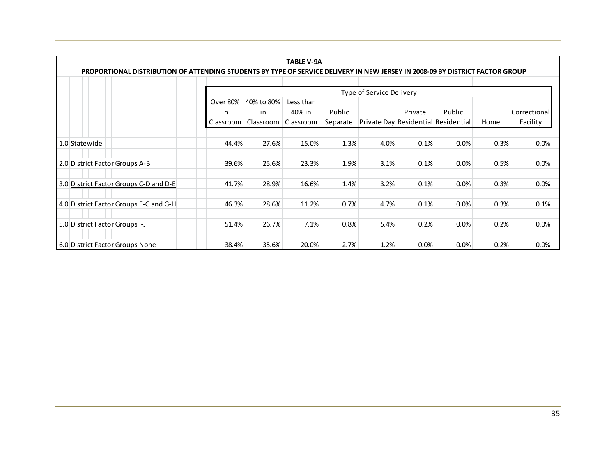|                                                                                                                               |                 |                          | <b>TABLE V-9A</b> |          |                                     |         |        |      |              |  |
|-------------------------------------------------------------------------------------------------------------------------------|-----------------|--------------------------|-------------------|----------|-------------------------------------|---------|--------|------|--------------|--|
| PROPORTIONAL DISTRIBUTION OF ATTENDING STUDENTS BY TYPE OF SERVICE DELIVERY IN NEW JERSEY IN 2008-09 BY DISTRICT FACTOR GROUP |                 |                          |                   |          |                                     |         |        |      |              |  |
|                                                                                                                               |                 |                          |                   |          |                                     |         |        |      |              |  |
|                                                                                                                               |                 | Type of Service Delivery |                   |          |                                     |         |        |      |              |  |
|                                                                                                                               | <b>Over 80%</b> | 40% to 80%               | Less than         |          |                                     |         |        |      |              |  |
|                                                                                                                               | in.             | in                       | 40% in            | Public   |                                     | Private | Public |      | Correctional |  |
|                                                                                                                               | Classroom       | Classroom                | Classroom         | Separate | Private Day Residential Residential |         |        | Home | Facility     |  |
|                                                                                                                               |                 |                          |                   |          |                                     |         |        |      |              |  |
| 1.0 Statewide                                                                                                                 | 44.4%           | 27.6%                    | 15.0%             | 1.3%     | 4.0%                                | 0.1%    | 0.0%   | 0.3% | 0.0%         |  |
|                                                                                                                               |                 |                          |                   |          |                                     |         |        |      |              |  |
| 2.0 District Factor Groups A-B                                                                                                | 39.6%           | 25.6%                    | 23.3%             | 1.9%     | 3.1%                                | 0.1%    | 0.0%   | 0.5% | 0.0%         |  |
|                                                                                                                               |                 |                          |                   |          |                                     |         |        |      |              |  |
| 3.0 District Factor Groups C-D and D-E                                                                                        | 41.7%           | 28.9%                    | 16.6%             | 1.4%     | 3.2%                                | 0.1%    | 0.0%   | 0.3% | 0.0%         |  |
|                                                                                                                               |                 |                          |                   |          |                                     |         |        |      |              |  |
| 4.0 District Factor Groups F-G and G-H                                                                                        | 46.3%           | 28.6%                    | 11.2%             | 0.7%     | 4.7%                                | 0.1%    | 0.0%   | 0.3% | 0.1%         |  |
|                                                                                                                               |                 |                          |                   |          |                                     |         |        |      |              |  |
| 5.0 District Factor Groups I-J                                                                                                | 51.4%           | 26.7%                    | 7.1%              | 0.8%     | 5.4%                                | 0.2%    | 0.0%   | 0.2% | 0.0%         |  |
|                                                                                                                               |                 |                          |                   |          |                                     |         |        |      |              |  |
| 6.0 District Factor Groups None                                                                                               | 38.4%           | 35.6%                    | 20.0%             | 2.7%     | 1.2%                                | 0.0%    | 0.0%   | 0.2% | 0.0%         |  |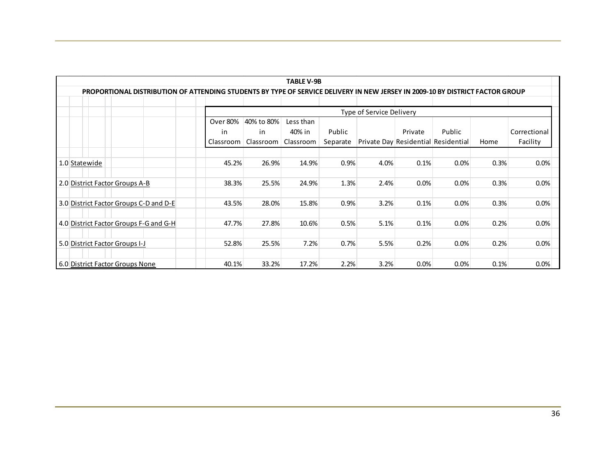|                                                                                                                               |           |            | <b>TABLE V-9B</b> |          |                                     |         |        |      |              |
|-------------------------------------------------------------------------------------------------------------------------------|-----------|------------|-------------------|----------|-------------------------------------|---------|--------|------|--------------|
| PROPORTIONAL DISTRIBUTION OF ATTENDING STUDENTS BY TYPE OF SERVICE DELIVERY IN NEW JERSEY IN 2009-10 BY DISTRICT FACTOR GROUP |           |            |                   |          |                                     |         |        |      |              |
|                                                                                                                               |           |            |                   |          |                                     |         |        |      |              |
|                                                                                                                               |           |            |                   |          | Type of Service Delivery            |         |        |      |              |
|                                                                                                                               | Over 80%  | 40% to 80% | Less than         |          |                                     |         |        |      |              |
|                                                                                                                               | in        | in         | 40% in            | Public   |                                     | Private | Public |      | Correctional |
|                                                                                                                               | Classroom | Classroom  | Classroom         | Separate | Private Day Residential Residential |         |        | Home | Facility     |
|                                                                                                                               |           |            |                   |          |                                     |         |        |      |              |
| 1.0 Statewide                                                                                                                 | 45.2%     | 26.9%      | 14.9%             | 0.9%     | 4.0%                                | 0.1%    | 0.0%   | 0.3% | 0.0%         |
|                                                                                                                               |           |            |                   |          |                                     |         |        |      |              |
| 2.0 District Factor Groups A-B                                                                                                | 38.3%     | 25.5%      | 24.9%             | 1.3%     | 2.4%                                | 0.0%    | 0.0%   | 0.3% | 0.0%         |
|                                                                                                                               |           |            |                   |          |                                     |         |        |      |              |
| 3.0 District Factor Groups C-D and D-E                                                                                        | 43.5%     | 28.0%      | 15.8%             | 0.9%     | 3.2%                                | 0.1%    | 0.0%   | 0.3% | 0.0%         |
|                                                                                                                               |           |            |                   |          |                                     |         |        |      |              |
| 4.0 District Factor Groups F-G and G-H                                                                                        | 47.7%     | 27.8%      | 10.6%             | 0.5%     | 5.1%                                | 0.1%    | 0.0%   | 0.2% | 0.0%         |
|                                                                                                                               |           |            |                   |          |                                     |         |        |      |              |
| 5.0 District Factor Groups I-J                                                                                                | 52.8%     | 25.5%      | 7.2%              | 0.7%     | 5.5%                                | 0.2%    | 0.0%   | 0.2% | 0.0%         |
|                                                                                                                               |           |            |                   |          |                                     |         |        |      |              |
| 6.0 District Factor Groups None                                                                                               | 40.1%     | 33.2%      | 17.2%             | 2.2%     | 3.2%                                | 0.0%    | 0.0%   | 0.1% | 0.0%         |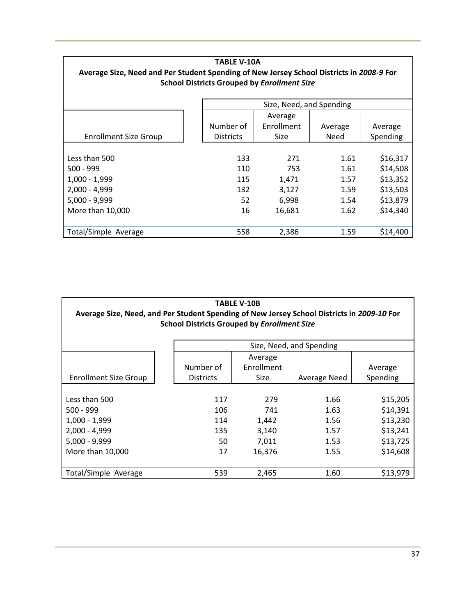| <b>TABLE V-10A</b><br>Average Size, Need and Per Student Spending of New Jersey School Districts in 2008-9 For<br><b>School Districts Grouped by Enrollment Size</b> |                                                     |                          |         |          |  |  |  |  |  |  |  |
|----------------------------------------------------------------------------------------------------------------------------------------------------------------------|-----------------------------------------------------|--------------------------|---------|----------|--|--|--|--|--|--|--|
|                                                                                                                                                                      |                                                     | Size, Need, and Spending |         |          |  |  |  |  |  |  |  |
|                                                                                                                                                                      |                                                     | Average                  |         |          |  |  |  |  |  |  |  |
|                                                                                                                                                                      | Number of                                           | Enrollment               | Average | Average  |  |  |  |  |  |  |  |
| <b>Enrollment Size Group</b>                                                                                                                                         | <b>Districts</b><br>Need<br>Spending<br><b>Size</b> |                          |         |          |  |  |  |  |  |  |  |
|                                                                                                                                                                      |                                                     |                          |         |          |  |  |  |  |  |  |  |
| Less than 500                                                                                                                                                        | 133                                                 | 271                      | 1.61    | \$16,317 |  |  |  |  |  |  |  |
| $500 - 999$                                                                                                                                                          | 110                                                 | 753                      | 1.61    | \$14,508 |  |  |  |  |  |  |  |
| 1,000 - 1,999                                                                                                                                                        | 115                                                 | 1,471                    | 1.57    | \$13,352 |  |  |  |  |  |  |  |
| $2,000 - 4,999$                                                                                                                                                      | 132                                                 | 3,127                    | 1.59    | \$13,503 |  |  |  |  |  |  |  |
| $5,000 - 9,999$                                                                                                                                                      | 52                                                  | 6,998                    | 1.54    | \$13,879 |  |  |  |  |  |  |  |
| \$14,340<br>More than 10,000<br>16<br>16,681<br>1.62                                                                                                                 |                                                     |                          |         |          |  |  |  |  |  |  |  |
| Total/Simple Average                                                                                                                                                 | 558                                                 | 2,386                    | 1.59    | \$14,400 |  |  |  |  |  |  |  |

| <b>TABLE V-10B</b>           |                                                                                            |            |      |          |  |  |  |  |  |  |  |  |
|------------------------------|--------------------------------------------------------------------------------------------|------------|------|----------|--|--|--|--|--|--|--|--|
|                              | Average Size, Need, and Per Student Spending of New Jersey School Districts in 2009-10 For |            |      |          |  |  |  |  |  |  |  |  |
|                              | <b>School Districts Grouped by Enrollment Size</b>                                         |            |      |          |  |  |  |  |  |  |  |  |
|                              |                                                                                            |            |      |          |  |  |  |  |  |  |  |  |
| Size, Need, and Spending     |                                                                                            |            |      |          |  |  |  |  |  |  |  |  |
|                              |                                                                                            | Average    |      |          |  |  |  |  |  |  |  |  |
|                              | Number of                                                                                  | Enrollment |      | Average  |  |  |  |  |  |  |  |  |
| <b>Enrollment Size Group</b> | Spending<br><b>Districts</b><br>Size<br>Average Need                                       |            |      |          |  |  |  |  |  |  |  |  |
|                              |                                                                                            |            |      |          |  |  |  |  |  |  |  |  |
| Less than 500                | 117                                                                                        | 279        | 1.66 | \$15,205 |  |  |  |  |  |  |  |  |
| $500 - 999$                  | 106                                                                                        | 741        | 1.63 | \$14,391 |  |  |  |  |  |  |  |  |
| $1,000 - 1,999$              | 114                                                                                        | 1,442      | 1.56 | \$13,230 |  |  |  |  |  |  |  |  |
| $2,000 - 4,999$              | 135                                                                                        | 3,140      | 1.57 | \$13,241 |  |  |  |  |  |  |  |  |
| $5,000 - 9,999$              | 50                                                                                         | 7,011      | 1.53 | \$13,725 |  |  |  |  |  |  |  |  |
| More than 10,000             | 17                                                                                         | 16,376     | 1.55 | \$14,608 |  |  |  |  |  |  |  |  |
|                              |                                                                                            |            |      |          |  |  |  |  |  |  |  |  |
| Total/Simple Average         | 539                                                                                        | 2,465      | 1.60 | \$13,979 |  |  |  |  |  |  |  |  |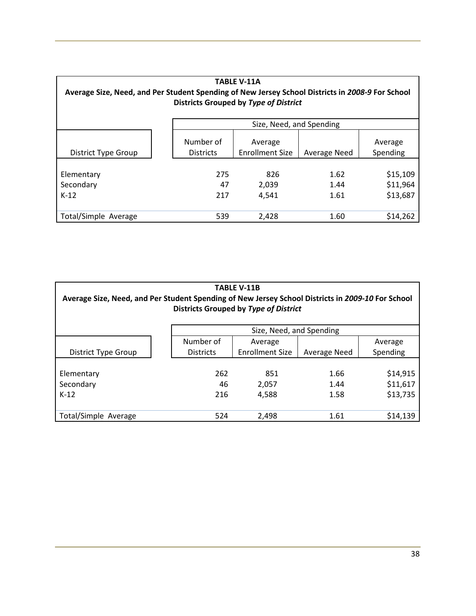| <b>TABLE V-11A</b><br>Average Size, Need, and Per Student Spending of New Jersey School Districts in 2008-9 For School<br>Districts Grouped by Type of District |                               |                                   |                      |                                  |  |  |  |  |  |  |
|-----------------------------------------------------------------------------------------------------------------------------------------------------------------|-------------------------------|-----------------------------------|----------------------|----------------------------------|--|--|--|--|--|--|
|                                                                                                                                                                 |                               | Size, Need, and Spending          |                      |                                  |  |  |  |  |  |  |
| District Type Group                                                                                                                                             | Number of<br><b>Districts</b> | Average<br><b>Enrollment Size</b> | Average Need         | Average<br>Spending              |  |  |  |  |  |  |
| Elementary<br>Secondary<br>$K-12$                                                                                                                               | 275<br>47<br>217              | 826<br>2,039<br>4,541             | 1.62<br>1.44<br>1.61 | \$15,109<br>\$11,964<br>\$13,687 |  |  |  |  |  |  |
| Total/Simple Average                                                                                                                                            | 539                           | 2,428                             | 1.60                 | \$14,262                         |  |  |  |  |  |  |

| <b>TABLE V-11B</b><br>Average Size, Need, and Per Student Spending of New Jersey School Districts in 2009-10 For School<br>Districts Grouped by Type of District |                          |                        |              |          |  |
|------------------------------------------------------------------------------------------------------------------------------------------------------------------|--------------------------|------------------------|--------------|----------|--|
|                                                                                                                                                                  | Size, Need, and Spending |                        |              |          |  |
|                                                                                                                                                                  | Number of                | Average                |              | Average  |  |
| <b>District Type Group</b>                                                                                                                                       | <b>Districts</b>         | <b>Enrollment Size</b> | Average Need | Spending |  |
| Elementary                                                                                                                                                       | 262                      | 851                    | 1.66         | \$14,915 |  |
| Secondary                                                                                                                                                        | 46                       | 2,057                  | 1.44         | \$11,617 |  |
| $K-12$                                                                                                                                                           | 216                      | 4.588                  | 1.58         | \$13,735 |  |
| Total/Simple Average                                                                                                                                             | 524                      | 2,498                  | 1.61         | \$14,139 |  |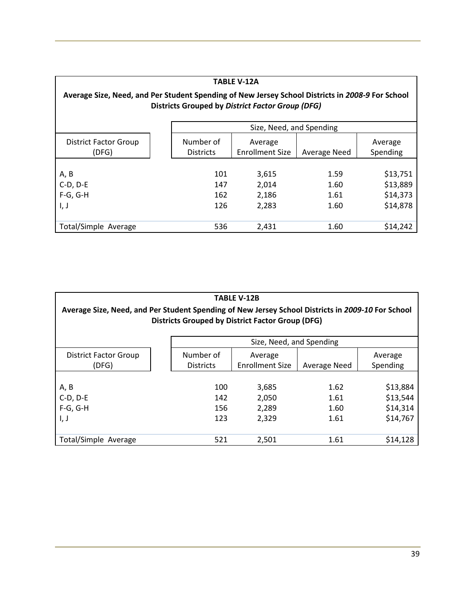| <b>TABLE V-12A</b>                                                                                                                                          |                               |                                   |                              |                                              |  |
|-------------------------------------------------------------------------------------------------------------------------------------------------------------|-------------------------------|-----------------------------------|------------------------------|----------------------------------------------|--|
| Average Size, Need, and Per Student Spending of New Jersey School Districts in 2008-9 For School<br><b>Districts Grouped by District Factor Group (DFG)</b> |                               |                                   |                              |                                              |  |
|                                                                                                                                                             | Size, Need, and Spending      |                                   |                              |                                              |  |
| <b>District Factor Group</b><br>(DFG)                                                                                                                       | Number of<br><b>Districts</b> | Average<br><b>Enrollment Size</b> | Average Need                 | Average<br>Spending                          |  |
| A, B<br>$C-D, D-E$<br>$F-G, G-H$<br>I, J                                                                                                                    | 101<br>147<br>162<br>126      | 3,615<br>2,014<br>2,186<br>2,283  | 1.59<br>1.60<br>1.61<br>1.60 | \$13,751<br>\$13,889<br>\$14,373<br>\$14,878 |  |
| Total/Simple Average                                                                                                                                        | 536                           | 2,431                             | 1.60                         | \$14,242                                     |  |

| <b>TABLE V-12B</b><br>Average Size, Need, and Per Student Spending of New Jersey School Districts in 2009-10 For School<br><b>Districts Grouped by District Factor Group (DFG)</b> |                               |                                   |                              |                                              |  |
|------------------------------------------------------------------------------------------------------------------------------------------------------------------------------------|-------------------------------|-----------------------------------|------------------------------|----------------------------------------------|--|
|                                                                                                                                                                                    | Size, Need, and Spending      |                                   |                              |                                              |  |
| District Factor Group<br>(DFG)                                                                                                                                                     | Number of<br><b>Districts</b> | Average<br><b>Enrollment Size</b> | Average Need                 | Average<br>Spending                          |  |
| A, B<br>$C-D, D-E$<br>$F-G, G-H$<br>I, J                                                                                                                                           | 100<br>142<br>156<br>123      | 3,685<br>2,050<br>2,289<br>2,329  | 1.62<br>1.61<br>1.60<br>1.61 | \$13,884<br>\$13,544<br>\$14,314<br>\$14,767 |  |
| Total/Simple Average                                                                                                                                                               | 521                           | 2,501                             | 1.61                         | \$14,128                                     |  |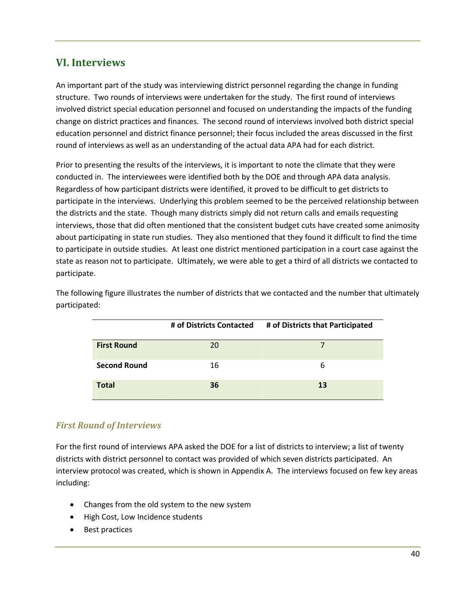## **VI. Interviews**

An important part of the study was interviewing district personnel regarding the change in funding structure. Two rounds of interviews were undertaken for the study. The first round of interviews involved district special education personnel and focused on understanding the impacts of the funding change on district practices and finances. The second round of interviews involved both district special education personnel and district finance personnel; their focus included the areas discussed in the first round of interviews as well as an understanding of the actual data APA had for each district.

Prior to presenting the results of the interviews, it is important to note the climate that they were conducted in. The interviewees were identified both by the DOE and through APA data analysis. Regardless of how participant districts were identified, it proved to be difficult to get districts to participate in the interviews. Underlying this problem seemed to be the perceived relationship between the districts and the state. Though many districts simply did not return calls and emails requesting interviews, those that did often mentioned that the consistent budget cuts have created some animosity about participating in state run studies. They also mentioned that they found it difficult to find the time to participate in outside studies. At least one district mentioned participation in a court case against the state as reason not to participate. Ultimately, we were able to get a third of all districts we contacted to participate.

|                     | # of Districts Contacted | # of Districts that Participated |
|---------------------|--------------------------|----------------------------------|
| <b>First Round</b>  | 20                       |                                  |
| <b>Second Round</b> | 16                       | 6                                |
| <b>Total</b>        | 36                       | 13                               |

The following figure illustrates the number of districts that we contacted and the number that ultimately participated:

## *First Round of Interviews*

For the first round of interviews APA asked the DOE for a list of districts to interview; a list of twenty districts with district personnel to contact was provided of which seven districts participated. An interview protocol was created, which is shown in Appendix A. The interviews focused on few key areas including:

- Changes from the old system to the new system
- High Cost, Low Incidence students
- Best practices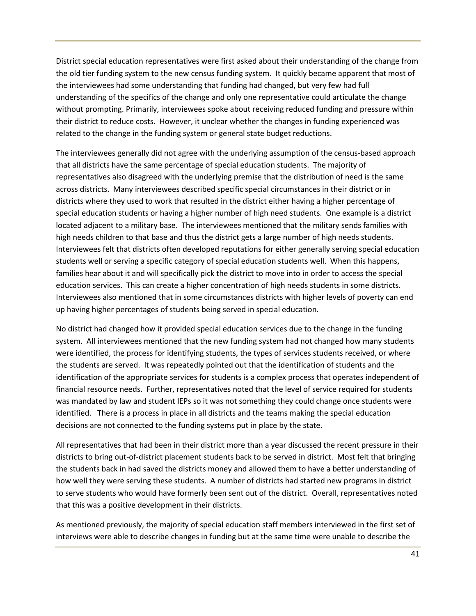District special education representatives were first asked about their understanding of the change from the old tier funding system to the new census funding system. It quickly became apparent that most of the interviewees had some understanding that funding had changed, but very few had full understanding of the specifics of the change and only one representative could articulate the change without prompting. Primarily, interviewees spoke about receiving reduced funding and pressure within their district to reduce costs. However, it unclear whether the changes in funding experienced was related to the change in the funding system or general state budget reductions.

The interviewees generally did not agree with the underlying assumption of the census-based approach that all districts have the same percentage of special education students. The majority of representatives also disagreed with the underlying premise that the distribution of need is the same across districts. Many interviewees described specific special circumstances in their district or in districts where they used to work that resulted in the district either having a higher percentage of special education students or having a higher number of high need students. One example is a district located adjacent to a military base. The interviewees mentioned that the military sends families with high needs children to that base and thus the district gets a large number of high needs students. Interviewees felt that districts often developed reputations for either generally serving special education students well or serving a specific category of special education students well. When this happens, families hear about it and will specifically pick the district to move into in order to access the special education services. This can create a higher concentration of high needs students in some districts. Interviewees also mentioned that in some circumstances districts with higher levels of poverty can end up having higher percentages of students being served in special education.

No district had changed how it provided special education services due to the change in the funding system. All interviewees mentioned that the new funding system had not changed how many students were identified, the process for identifying students, the types of services students received, or where the students are served. It was repeatedly pointed out that the identification of students and the identification of the appropriate services for students is a complex process that operates independent of financial resource needs. Further, representatives noted that the level of service required for students was mandated by law and student IEPs so it was not something they could change once students were identified. There is a process in place in all districts and the teams making the special education decisions are not connected to the funding systems put in place by the state.

All representatives that had been in their district more than a year discussed the recent pressure in their districts to bring out-of-district placement students back to be served in district. Most felt that bringing the students back in had saved the districts money and allowed them to have a better understanding of how well they were serving these students. A number of districts had started new programs in district to serve students who would have formerly been sent out of the district. Overall, representatives noted that this was a positive development in their districts.

As mentioned previously, the majority of special education staff members interviewed in the first set of interviews were able to describe changes in funding but at the same time were unable to describe the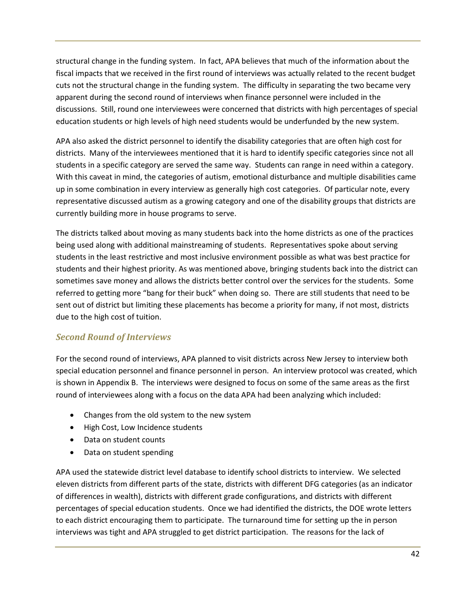structural change in the funding system. In fact, APA believes that much of the information about the fiscal impacts that we received in the first round of interviews was actually related to the recent budget cuts not the structural change in the funding system. The difficulty in separating the two became very apparent during the second round of interviews when finance personnel were included in the discussions. Still, round one interviewees were concerned that districts with high percentages of special education students or high levels of high need students would be underfunded by the new system.

APA also asked the district personnel to identify the disability categories that are often high cost for districts. Many of the interviewees mentioned that it is hard to identify specific categories since not all students in a specific category are served the same way. Students can range in need within a category. With this caveat in mind, the categories of autism, emotional disturbance and multiple disabilities came up in some combination in every interview as generally high cost categories. Of particular note, every representative discussed autism as a growing category and one of the disability groups that districts are currently building more in house programs to serve.

The districts talked about moving as many students back into the home districts as one of the practices being used along with additional mainstreaming of students. Representatives spoke about serving students in the least restrictive and most inclusive environment possible as what was best practice for students and their highest priority. As was mentioned above, bringing students back into the district can sometimes save money and allows the districts better control over the services for the students. Some referred to getting more "bang for their buck" when doing so. There are still students that need to be sent out of district but limiting these placements has become a priority for many, if not most, districts due to the high cost of tuition.

## *Second Round of Interviews*

For the second round of interviews, APA planned to visit districts across New Jersey to interview both special education personnel and finance personnel in person. An interview protocol was created, which is shown in Appendix B. The interviews were designed to focus on some of the same areas as the first round of interviewees along with a focus on the data APA had been analyzing which included:

- Changes from the old system to the new system
- High Cost, Low Incidence students
- Data on student counts
- Data on student spending

APA used the statewide district level database to identify school districts to interview. We selected eleven districts from different parts of the state, districts with different DFG categories (as an indicator of differences in wealth), districts with different grade configurations, and districts with different percentages of special education students. Once we had identified the districts, the DOE wrote letters to each district encouraging them to participate. The turnaround time for setting up the in person interviews was tight and APA struggled to get district participation. The reasons for the lack of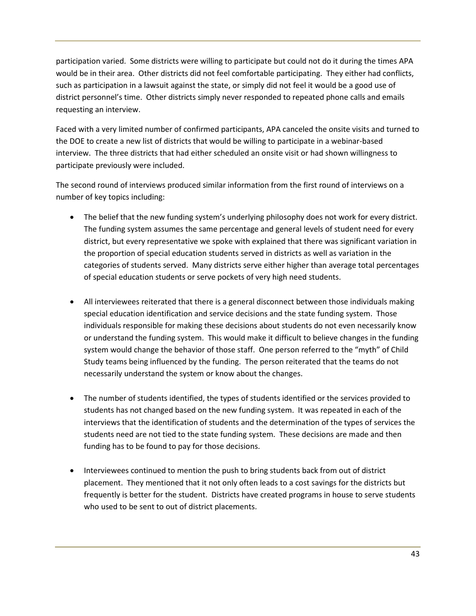participation varied. Some districts were willing to participate but could not do it during the times APA would be in their area. Other districts did not feel comfortable participating. They either had conflicts, such as participation in a lawsuit against the state, or simply did not feel it would be a good use of district personnel's time. Other districts simply never responded to repeated phone calls and emails requesting an interview.

Faced with a very limited number of confirmed participants, APA canceled the onsite visits and turned to the DOE to create a new list of districts that would be willing to participate in a webinar-based interview. The three districts that had either scheduled an onsite visit or had shown willingness to participate previously were included.

The second round of interviews produced similar information from the first round of interviews on a number of key topics including:

- The belief that the new funding system's underlying philosophy does not work for every district. The funding system assumes the same percentage and general levels of student need for every district, but every representative we spoke with explained that there was significant variation in the proportion of special education students served in districts as well as variation in the categories of students served. Many districts serve either higher than average total percentages of special education students or serve pockets of very high need students.
- All interviewees reiterated that there is a general disconnect between those individuals making special education identification and service decisions and the state funding system. Those individuals responsible for making these decisions about students do not even necessarily know or understand the funding system. This would make it difficult to believe changes in the funding system would change the behavior of those staff. One person referred to the "myth" of Child Study teams being influenced by the funding. The person reiterated that the teams do not necessarily understand the system or know about the changes.
- The number of students identified, the types of students identified or the services provided to students has not changed based on the new funding system. It was repeated in each of the interviews that the identification of students and the determination of the types of services the students need are not tied to the state funding system. These decisions are made and then funding has to be found to pay for those decisions.
- Interviewees continued to mention the push to bring students back from out of district placement. They mentioned that it not only often leads to a cost savings for the districts but frequently is better for the student. Districts have created programs in house to serve students who used to be sent to out of district placements.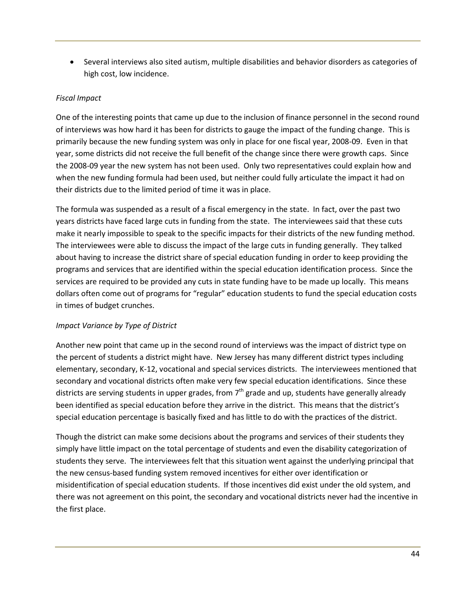• Several interviews also sited autism, multiple disabilities and behavior disorders as categories of high cost, low incidence.

#### *Fiscal Impact*

One of the interesting points that came up due to the inclusion of finance personnel in the second round of interviews was how hard it has been for districts to gauge the impact of the funding change. This is primarily because the new funding system was only in place for one fiscal year, 2008-09. Even in that year, some districts did not receive the full benefit of the change since there were growth caps. Since the 2008-09 year the new system has not been used. Only two representatives could explain how and when the new funding formula had been used, but neither could fully articulate the impact it had on their districts due to the limited period of time it was in place.

The formula was suspended as a result of a fiscal emergency in the state. In fact, over the past two years districts have faced large cuts in funding from the state. The interviewees said that these cuts make it nearly impossible to speak to the specific impacts for their districts of the new funding method. The interviewees were able to discuss the impact of the large cuts in funding generally. They talked about having to increase the district share of special education funding in order to keep providing the programs and services that are identified within the special education identification process. Since the services are required to be provided any cuts in state funding have to be made up locally. This means dollars often come out of programs for "regular" education students to fund the special education costs in times of budget crunches.

#### *Impact Variance by Type of District*

Another new point that came up in the second round of interviews was the impact of district type on the percent of students a district might have. New Jersey has many different district types including elementary, secondary, K-12, vocational and special services districts. The interviewees mentioned that secondary and vocational districts often make very few special education identifications. Since these districts are serving students in upper grades, from  $7<sup>th</sup>$  grade and up, students have generally already been identified as special education before they arrive in the district. This means that the district's special education percentage is basically fixed and has little to do with the practices of the district.

Though the district can make some decisions about the programs and services of their students they simply have little impact on the total percentage of students and even the disability categorization of students they serve. The interviewees felt that this situation went against the underlying principal that the new census-based funding system removed incentives for either over identification or misidentification of special education students. If those incentives did exist under the old system, and there was not agreement on this point, the secondary and vocational districts never had the incentive in the first place.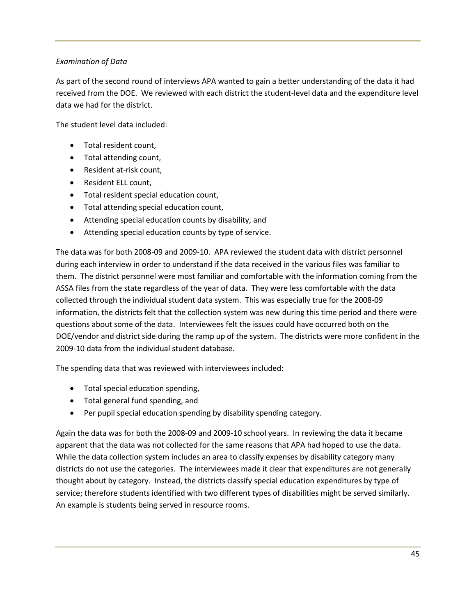#### *Examination of Data*

As part of the second round of interviews APA wanted to gain a better understanding of the data it had received from the DOE. We reviewed with each district the student-level data and the expenditure level data we had for the district.

The student level data included:

- Total resident count,
- Total attending count,
- Resident at-risk count,
- Resident ELL count,
- Total resident special education count,
- Total attending special education count,
- Attending special education counts by disability, and
- Attending special education counts by type of service.

The data was for both 2008-09 and 2009-10. APA reviewed the student data with district personnel during each interview in order to understand if the data received in the various files was familiar to them. The district personnel were most familiar and comfortable with the information coming from the ASSA files from the state regardless of the year of data. They were less comfortable with the data collected through the individual student data system. This was especially true for the 2008-09 information, the districts felt that the collection system was new during this time period and there were questions about some of the data. Interviewees felt the issues could have occurred both on the DOE/vendor and district side during the ramp up of the system. The districts were more confident in the 2009-10 data from the individual student database.

The spending data that was reviewed with interviewees included:

- Total special education spending,
- Total general fund spending, and
- Per pupil special education spending by disability spending category.

Again the data was for both the 2008-09 and 2009-10 school years. In reviewing the data it became apparent that the data was not collected for the same reasons that APA had hoped to use the data. While the data collection system includes an area to classify expenses by disability category many districts do not use the categories. The interviewees made it clear that expenditures are not generally thought about by category. Instead, the districts classify special education expenditures by type of service; therefore students identified with two different types of disabilities might be served similarly. An example is students being served in resource rooms.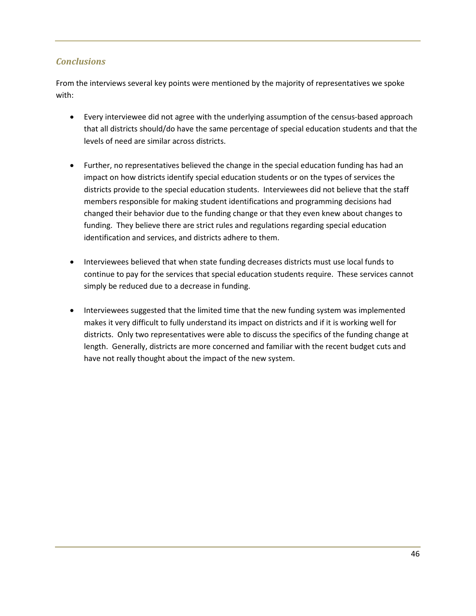## *Conclusions*

From the interviews several key points were mentioned by the majority of representatives we spoke with:

- Every interviewee did not agree with the underlying assumption of the census-based approach that all districts should/do have the same percentage of special education students and that the levels of need are similar across districts.
- Further, no representatives believed the change in the special education funding has had an impact on how districts identify special education students or on the types of services the districts provide to the special education students. Interviewees did not believe that the staff members responsible for making student identifications and programming decisions had changed their behavior due to the funding change or that they even knew about changes to funding. They believe there are strict rules and regulations regarding special education identification and services, and districts adhere to them.
- Interviewees believed that when state funding decreases districts must use local funds to continue to pay for the services that special education students require. These services cannot simply be reduced due to a decrease in funding.
- Interviewees suggested that the limited time that the new funding system was implemented makes it very difficult to fully understand its impact on districts and if it is working well for districts. Only two representatives were able to discuss the specifics of the funding change at length. Generally, districts are more concerned and familiar with the recent budget cuts and have not really thought about the impact of the new system.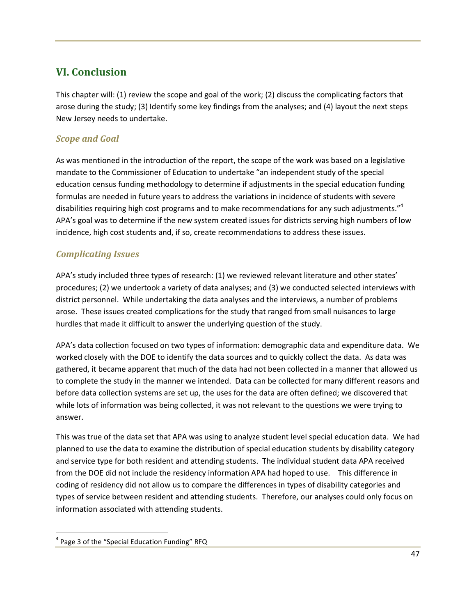## **VI. Conclusion**

This chapter will: (1) review the scope and goal of the work; (2) discuss the complicating factors that arose during the study; (3) Identify some key findings from the analyses; and (4) layout the next steps New Jersey needs to undertake.

## *Scope and Goal*

As was mentioned in the introduction of the report, the scope of the work was based on a legislative mandate to the Commissioner of Education to undertake "an independent study of the special education census funding methodology to determine if adjustments in the special education funding formulas are needed in future years to address the variations in incidence of students with severe disabilities requiring high cost programs and to make recommendations for any such adjustments." $4$ APA's goal was to determine if the new system created issues for districts serving high numbers of low incidence, high cost students and, if so, create recommendations to address these issues.

## *Complicating Issues*

APA's study included three types of research: (1) we reviewed relevant literature and other states' procedures; (2) we undertook a variety of data analyses; and (3) we conducted selected interviews with district personnel. While undertaking the data analyses and the interviews, a number of problems arose. These issues created complications for the study that ranged from small nuisances to large hurdles that made it difficult to answer the underlying question of the study.

APA's data collection focused on two types of information: demographic data and expenditure data. We worked closely with the DOE to identify the data sources and to quickly collect the data. As data was gathered, it became apparent that much of the data had not been collected in a manner that allowed us to complete the study in the manner we intended. Data can be collected for many different reasons and before data collection systems are set up, the uses for the data are often defined; we discovered that while lots of information was being collected, it was not relevant to the questions we were trying to answer.

This was true of the data set that APA was using to analyze student level special education data. We had planned to use the data to examine the distribution of special education students by disability category and service type for both resident and attending students. The individual student data APA received from the DOE did not include the residency information APA had hoped to use. This difference in coding of residency did not allow us to compare the differences in types of disability categories and types of service between resident and attending students. Therefore, our analyses could only focus on information associated with attending students.

<u>.</u>

<sup>4</sup> Page 3 of the "Special Education Funding" RFQ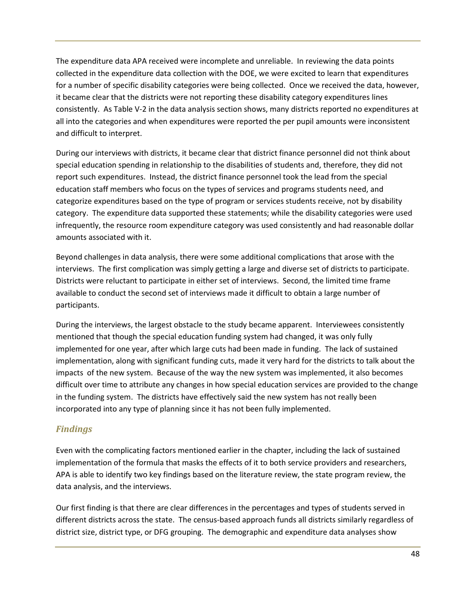The expenditure data APA received were incomplete and unreliable. In reviewing the data points collected in the expenditure data collection with the DOE, we were excited to learn that expenditures for a number of specific disability categories were being collected. Once we received the data, however, it became clear that the districts were not reporting these disability category expenditures lines consistently. As Table V-2 in the data analysis section shows, many districts reported no expenditures at all into the categories and when expenditures were reported the per pupil amounts were inconsistent and difficult to interpret.

During our interviews with districts, it became clear that district finance personnel did not think about special education spending in relationship to the disabilities of students and, therefore, they did not report such expenditures. Instead, the district finance personnel took the lead from the special education staff members who focus on the types of services and programs students need, and categorize expenditures based on the type of program or services students receive, not by disability category. The expenditure data supported these statements; while the disability categories were used infrequently, the resource room expenditure category was used consistently and had reasonable dollar amounts associated with it.

Beyond challenges in data analysis, there were some additional complications that arose with the interviews. The first complication was simply getting a large and diverse set of districts to participate. Districts were reluctant to participate in either set of interviews. Second, the limited time frame available to conduct the second set of interviews made it difficult to obtain a large number of participants.

During the interviews, the largest obstacle to the study became apparent. Interviewees consistently mentioned that though the special education funding system had changed, it was only fully implemented for one year, after which large cuts had been made in funding. The lack of sustained implementation, along with significant funding cuts, made it very hard for the districts to talk about the impacts of the new system. Because of the way the new system was implemented, it also becomes difficult over time to attribute any changes in how special education services are provided to the change in the funding system. The districts have effectively said the new system has not really been incorporated into any type of planning since it has not been fully implemented.

## *Findings*

Even with the complicating factors mentioned earlier in the chapter, including the lack of sustained implementation of the formula that masks the effects of it to both service providers and researchers, APA is able to identify two key findings based on the literature review, the state program review, the data analysis, and the interviews.

Our first finding is that there are clear differences in the percentages and types of students served in different districts across the state. The census-based approach funds all districts similarly regardless of district size, district type, or DFG grouping. The demographic and expenditure data analyses show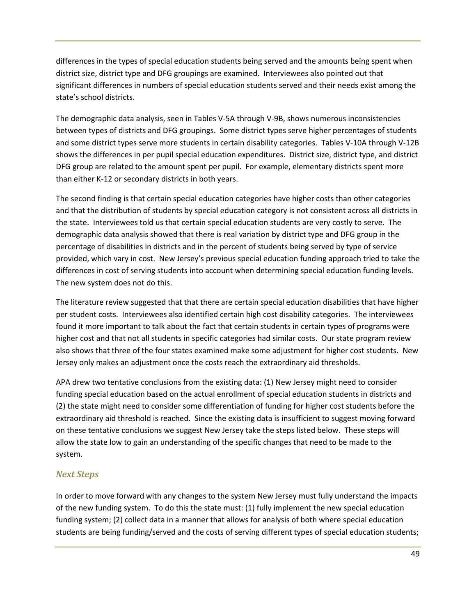differences in the types of special education students being served and the amounts being spent when district size, district type and DFG groupings are examined. Interviewees also pointed out that significant differences in numbers of special education students served and their needs exist among the state's school districts.

The demographic data analysis, seen in Tables V-5A through V-9B, shows numerous inconsistencies between types of districts and DFG groupings. Some district types serve higher percentages of students and some district types serve more students in certain disability categories. Tables V-10A through V-12B shows the differences in per pupil special education expenditures. District size, district type, and district DFG group are related to the amount spent per pupil. For example, elementary districts spent more than either K-12 or secondary districts in both years.

The second finding is that certain special education categories have higher costs than other categories and that the distribution of students by special education category is not consistent across all districts in the state. Interviewees told us that certain special education students are very costly to serve. The demographic data analysis showed that there is real variation by district type and DFG group in the percentage of disabilities in districts and in the percent of students being served by type of service provided, which vary in cost. New Jersey's previous special education funding approach tried to take the differences in cost of serving students into account when determining special education funding levels. The new system does not do this.

The literature review suggested that that there are certain special education disabilities that have higher per student costs. Interviewees also identified certain high cost disability categories. The interviewees found it more important to talk about the fact that certain students in certain types of programs were higher cost and that not all students in specific categories had similar costs. Our state program review also shows that three of the four states examined make some adjustment for higher cost students. New Jersey only makes an adjustment once the costs reach the extraordinary aid thresholds.

APA drew two tentative conclusions from the existing data: (1) New Jersey might need to consider funding special education based on the actual enrollment of special education students in districts and (2) the state might need to consider some differentiation of funding for higher cost students before the extraordinary aid threshold is reached. Since the existing data is insufficient to suggest moving forward on these tentative conclusions we suggest New Jersey take the steps listed below. These steps will allow the state low to gain an understanding of the specific changes that need to be made to the system.

## *Next Steps*

In order to move forward with any changes to the system New Jersey must fully understand the impacts of the new funding system. To do this the state must: (1) fully implement the new special education funding system; (2) collect data in a manner that allows for analysis of both where special education students are being funding/served and the costs of serving different types of special education students;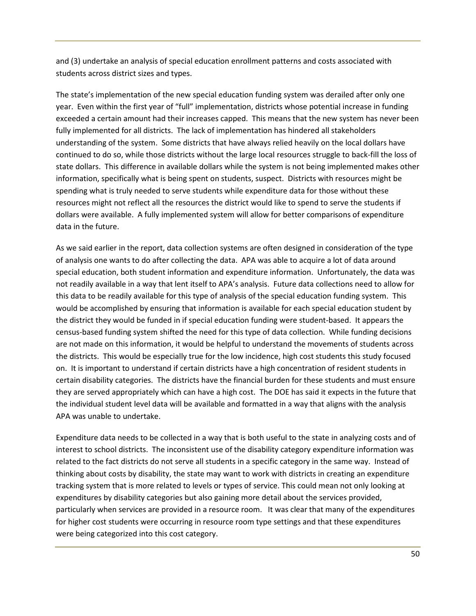and (3) undertake an analysis of special education enrollment patterns and costs associated with students across district sizes and types.

The state's implementation of the new special education funding system was derailed after only one year. Even within the first year of "full" implementation, districts whose potential increase in funding exceeded a certain amount had their increases capped. This means that the new system has never been fully implemented for all districts. The lack of implementation has hindered all stakeholders understanding of the system. Some districts that have always relied heavily on the local dollars have continued to do so, while those districts without the large local resources struggle to back-fill the loss of state dollars. This difference in available dollars while the system is not being implemented makes other information, specifically what is being spent on students, suspect. Districts with resources might be spending what is truly needed to serve students while expenditure data for those without these resources might not reflect all the resources the district would like to spend to serve the students if dollars were available. A fully implemented system will allow for better comparisons of expenditure data in the future.

As we said earlier in the report, data collection systems are often designed in consideration of the type of analysis one wants to do after collecting the data. APA was able to acquire a lot of data around special education, both student information and expenditure information. Unfortunately, the data was not readily available in a way that lent itself to APA's analysis. Future data collections need to allow for this data to be readily available for this type of analysis of the special education funding system. This would be accomplished by ensuring that information is available for each special education student by the district they would be funded in if special education funding were student-based. It appears the census-based funding system shifted the need for this type of data collection. While funding decisions are not made on this information, it would be helpful to understand the movements of students across the districts. This would be especially true for the low incidence, high cost students this study focused on. It is important to understand if certain districts have a high concentration of resident students in certain disability categories. The districts have the financial burden for these students and must ensure they are served appropriately which can have a high cost. The DOE has said it expects in the future that the individual student level data will be available and formatted in a way that aligns with the analysis APA was unable to undertake.

Expenditure data needs to be collected in a way that is both useful to the state in analyzing costs and of interest to school districts. The inconsistent use of the disability category expenditure information was related to the fact districts do not serve all students in a specific category in the same way. Instead of thinking about costs by disability, the state may want to work with districts in creating an expenditure tracking system that is more related to levels or types of service. This could mean not only looking at expenditures by disability categories but also gaining more detail about the services provided, particularly when services are provided in a resource room. It was clear that many of the expenditures for higher cost students were occurring in resource room type settings and that these expenditures were being categorized into this cost category.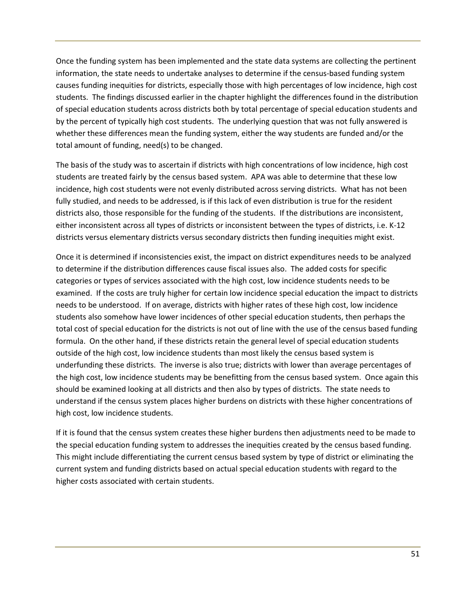Once the funding system has been implemented and the state data systems are collecting the pertinent information, the state needs to undertake analyses to determine if the census-based funding system causes funding inequities for districts, especially those with high percentages of low incidence, high cost students. The findings discussed earlier in the chapter highlight the differences found in the distribution of special education students across districts both by total percentage of special education students and by the percent of typically high cost students. The underlying question that was not fully answered is whether these differences mean the funding system, either the way students are funded and/or the total amount of funding, need(s) to be changed.

The basis of the study was to ascertain if districts with high concentrations of low incidence, high cost students are treated fairly by the census based system. APA was able to determine that these low incidence, high cost students were not evenly distributed across serving districts. What has not been fully studied, and needs to be addressed, is if this lack of even distribution is true for the resident districts also, those responsible for the funding of the students. If the distributions are inconsistent, either inconsistent across all types of districts or inconsistent between the types of districts, i.e. K-12 districts versus elementary districts versus secondary districts then funding inequities might exist.

Once it is determined if inconsistencies exist, the impact on district expenditures needs to be analyzed to determine if the distribution differences cause fiscal issues also. The added costs for specific categories or types of services associated with the high cost, low incidence students needs to be examined. If the costs are truly higher for certain low incidence special education the impact to districts needs to be understood. If on average, districts with higher rates of these high cost, low incidence students also somehow have lower incidences of other special education students, then perhaps the total cost of special education for the districts is not out of line with the use of the census based funding formula. On the other hand, if these districts retain the general level of special education students outside of the high cost, low incidence students than most likely the census based system is underfunding these districts. The inverse is also true; districts with lower than average percentages of the high cost, low incidence students may be benefitting from the census based system. Once again this should be examined looking at all districts and then also by types of districts. The state needs to understand if the census system places higher burdens on districts with these higher concentrations of high cost, low incidence students.

If it is found that the census system creates these higher burdens then adjustments need to be made to the special education funding system to addresses the inequities created by the census based funding. This might include differentiating the current census based system by type of district or eliminating the current system and funding districts based on actual special education students with regard to the higher costs associated with certain students.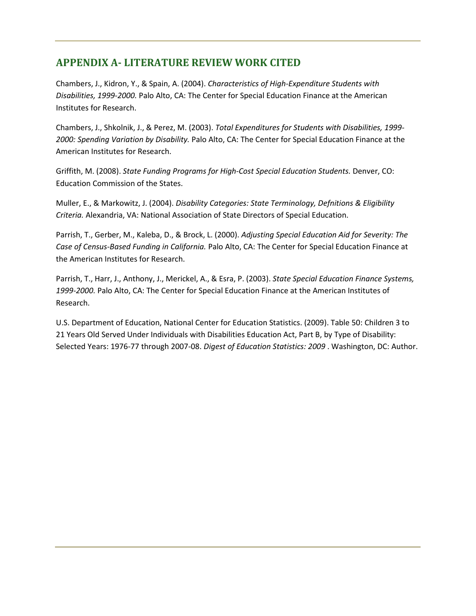## **APPENDIX A- LITERATURE REVIEW WORK CITED**

Chambers, J., Kidron, Y., & Spain, A. (2004). *Characteristics of High-Expenditure Students with Disabilities, 1999-2000.* Palo Alto, CA: The Center for Special Education Finance at the American Institutes for Research.

Chambers, J., Shkolnik, J., & Perez, M. (2003). *Total Expenditures for Students with Disabilities, 1999- 2000: Spending Variation by Disability.* Palo Alto, CA: The Center for Special Education Finance at the American Institutes for Research.

Griffith, M. (2008). *State Funding Programs for High-Cost Special Education Students.* Denver, CO: Education Commission of the States.

Muller, E., & Markowitz, J. (2004). *Disability Categories: State Terminology, Defnitions & Eligibility Criteria.* Alexandria, VA: National Association of State Directors of Special Education.

Parrish, T., Gerber, M., Kaleba, D., & Brock, L. (2000). *Adjusting Special Education Aid for Severity: The Case of Census-Based Funding in California.* Palo Alto, CA: The Center for Special Education Finance at the American Institutes for Research.

Parrish, T., Harr, J., Anthony, J., Merickel, A., & Esra, P. (2003). *State Special Education Finance Systems, 1999-2000.* Palo Alto, CA: The Center for Special Education Finance at the American Institutes of Research.

U.S. Department of Education, National Center for Education Statistics. (2009). Table 50: Children 3 to 21 Years Old Served Under Individuals with Disabilities Education Act, Part B, by Type of Disability: Selected Years: 1976-77 through 2007-08. *Digest of Education Statistics: 2009* . Washington, DC: Author.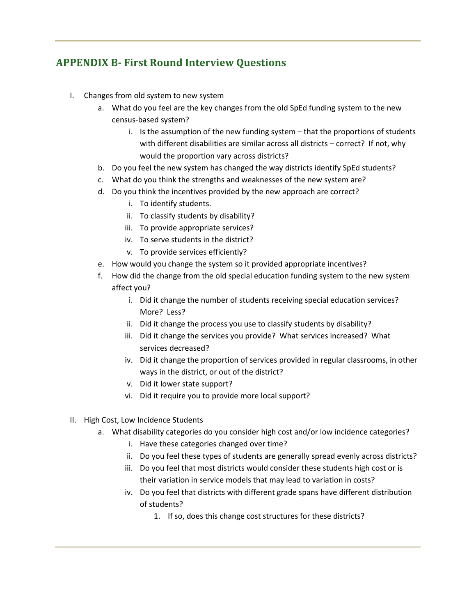## **APPENDIX B- First Round Interview Questions**

- I. Changes from old system to new system
	- a. What do you feel are the key changes from the old SpEd funding system to the new census-based system?
		- i. Is the assumption of the new funding system that the proportions of students with different disabilities are similar across all districts – correct? If not, why would the proportion vary across districts?
	- b. Do you feel the new system has changed the way districts identify SpEd students?
	- c. What do you think the strengths and weaknesses of the new system are?
	- d. Do you think the incentives provided by the new approach are correct?
		- i. To identify students.
		- ii. To classify students by disability?
		- iii. To provide appropriate services?
		- iv. To serve students in the district?
		- v. To provide services efficiently?
	- e. How would you change the system so it provided appropriate incentives?
	- f. How did the change from the old special education funding system to the new system affect you?
		- i. Did it change the number of students receiving special education services? More? Less?
		- ii. Did it change the process you use to classify students by disability?
		- iii. Did it change the services you provide? What services increased? What services decreased?
		- iv. Did it change the proportion of services provided in regular classrooms, in other ways in the district, or out of the district?
		- v. Did it lower state support?
		- vi. Did it require you to provide more local support?
- II. High Cost, Low Incidence Students
	- a. What disability categories do you consider high cost and/or low incidence categories?
		- i. Have these categories changed over time?
		- ii. Do you feel these types of students are generally spread evenly across districts?
		- iii. Do you feel that most districts would consider these students high cost or is their variation in service models that may lead to variation in costs?
		- iv. Do you feel that districts with different grade spans have different distribution of students?
			- 1. If so, does this change cost structures for these districts?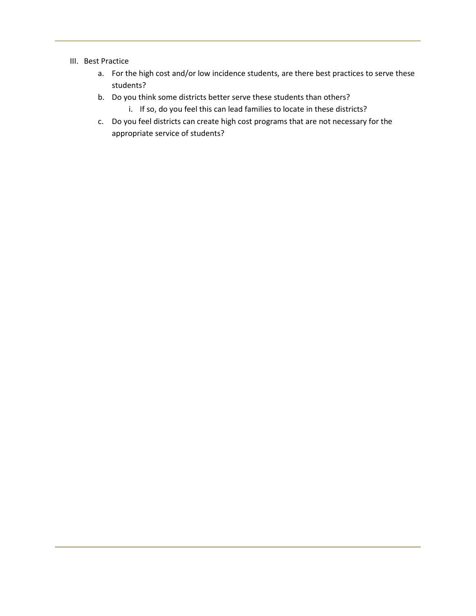#### III. Best Practice

- a. For the high cost and/or low incidence students, are there best practices to serve these students?
- b. Do you think some districts better serve these students than others?
	- i. If so, do you feel this can lead families to locate in these districts?
- c. Do you feel districts can create high cost programs that are not necessary for the appropriate service of students?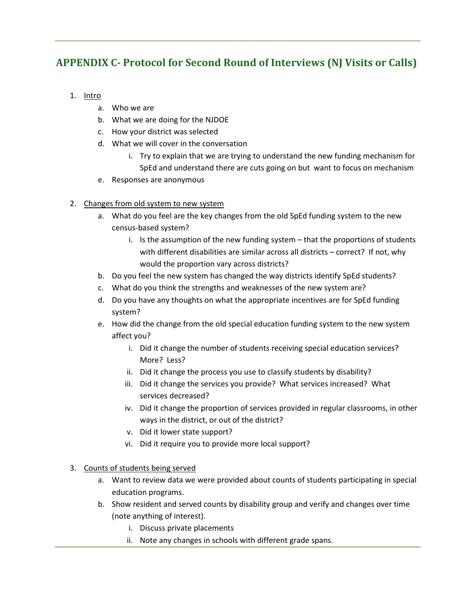## **APPENDIX C- Protocol for Second Round of Interviews (NJ Visits or Calls)**

- 1. Intro
	- a. Who we are
	- b. What we are doing for the NJDOE
	- c. How your district was selected
	- d. What we will cover in the conversation
		- i. Try to explain that we are trying to understand the new funding mechanism for SpEd and understand there are cuts going on but want to focus on mechanism
	- e. Responses are anonymous

## 2. Changes from old system to new system

- a. What do you feel are the key changes from the old SpEd funding system to the new census-based system?
	- i. Is the assumption of the new funding system that the proportions of students with different disabilities are similar across all districts – correct? If not, why would the proportion vary across districts?
- b. Do you feel the new system has changed the way districts identify SpEd students?
- c. What do you think the strengths and weaknesses of the new system are?
- d. Do you have any thoughts on what the appropriate incentives are for SpEd funding system?
- e. How did the change from the old special education funding system to the new system affect you?
	- i. Did it change the number of students receiving special education services? More? Less?
	- ii. Did it change the process you use to classify students by disability?
	- iii. Did it change the services you provide? What services increased? What services decreased?
	- iv. Did it change the proportion of services provided in regular classrooms, in other ways in the district, or out of the district?
	- v. Did it lower state support?
	- vi. Did it require you to provide more local support?
- 3. Counts of students being served
	- a. Want to review data we were provided about counts of students participating in special education programs.
	- b. Show resident and served counts by disability group and verify and changes over time (note anything of interest).
		- i. Discuss private placements
		- ii. Note any changes in schools with different grade spans.